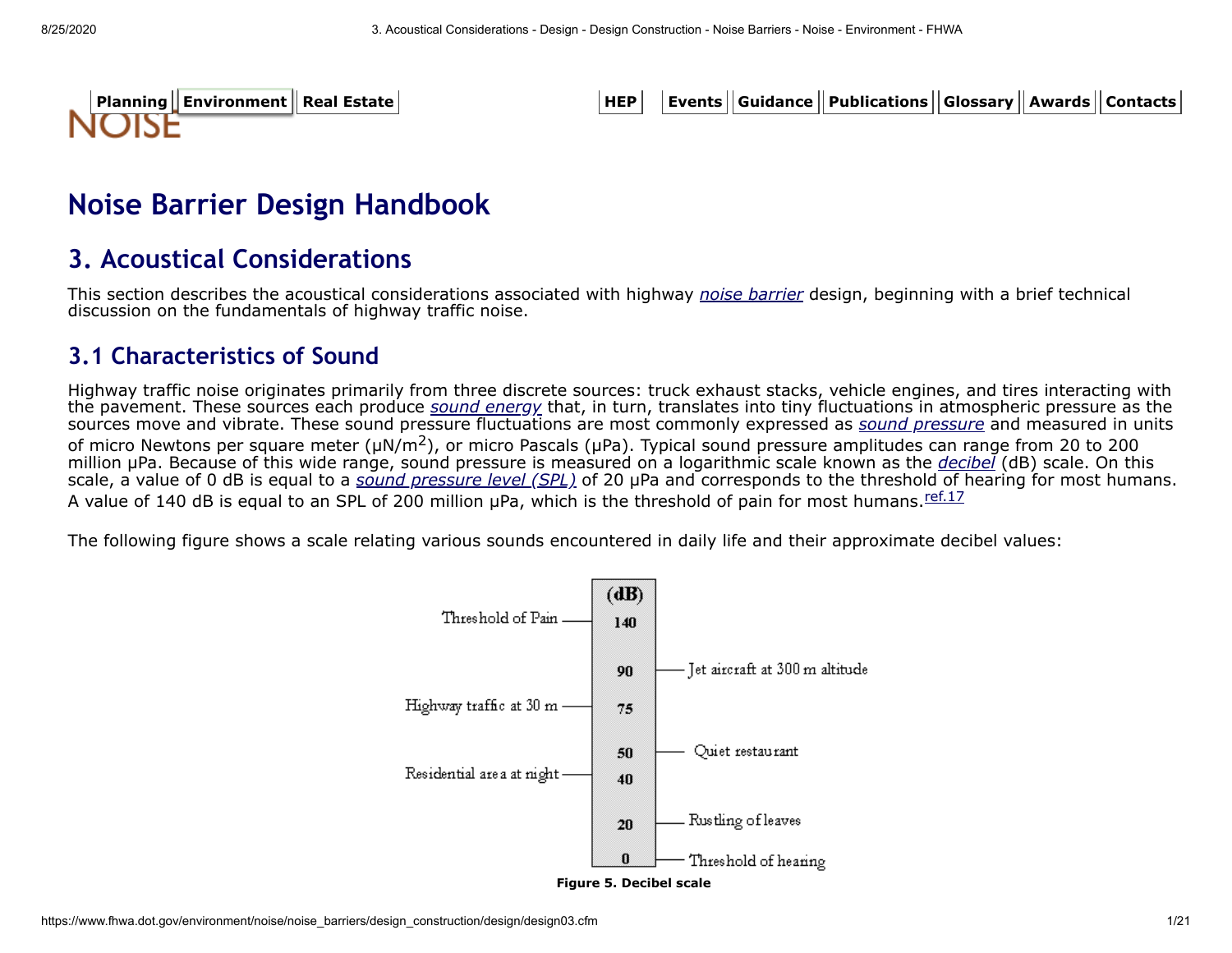

[Planning](https://www.fhwa.dot.gov/planning/) || [Environment](https://www.fhwa.dot.gov/environment/) || Real Estate | with the state | state | state | | Events || Guidance || Publications || Glossary || Awards || Contacts

# **Noise Barrier Design Handbook**

## **3. Acoustical Considerations**

This section describes the acoustical considerations associated with highway *[noise barrier](https://www.fhwa.dot.gov/environment/noise/noise_barriers/design_construction/design/design02.cfm#noisebarrier)* design, beginning with a brief technical discussion on the fundamentals of highway traffic noise.

## <span id="page-0-0"></span>**3.1 Characteristics of Sound**

Highway traffic noise originates primarily from three discrete sources: truck exhaust stacks, vehicle engines, and tires interacting with the pavement. These sources each produce *[sound energy](https://www.fhwa.dot.gov/environment/noise/noise_barriers/design_construction/design/design02.cfm#soundenergy)* that, in turn, translates into tiny fluctuations in atmospheric pressure as the sources move and vibrate. These sound pressure fluctuations are most commonly expressed as *[sound pressure](https://www.fhwa.dot.gov/environment/noise/noise_barriers/design_construction/design/design02.cfm#soundpressure)* and measured in units of micro Newtons per square meter ( $\mu$ N/m<sup>2</sup>), or micro Pascals ( $\mu$ Pa). Typical sound pressure amplitudes can range from 20 to 200 million µPa. Because of this wide range, sound pressure is measured on a logarithmic scale known as the *[decibel](https://www.fhwa.dot.gov/environment/noise/noise_barriers/design_construction/design/design02.cfm#decibel)* (dB) scale. On this scale, a value of 0 dB is equal to a *[sound pressure level \(SPL\)](https://www.fhwa.dot.gov/environment/noise/noise_barriers/design_construction/design/design02.cfm#soundpressurelevel)* of 20 µPa and corresponds to the threshold of hearing for most humans. A value of 140 dB is equal to an SPL of 200 million uPa, which is the threshold of pain for most humans. [ref.17](https://www.fhwa.dot.gov/environment/noise/noise_barriers/design_construction/design/ref.cfm#ref17)

The following figure shows a scale relating various sounds encountered in daily life and their approximate decibel values:

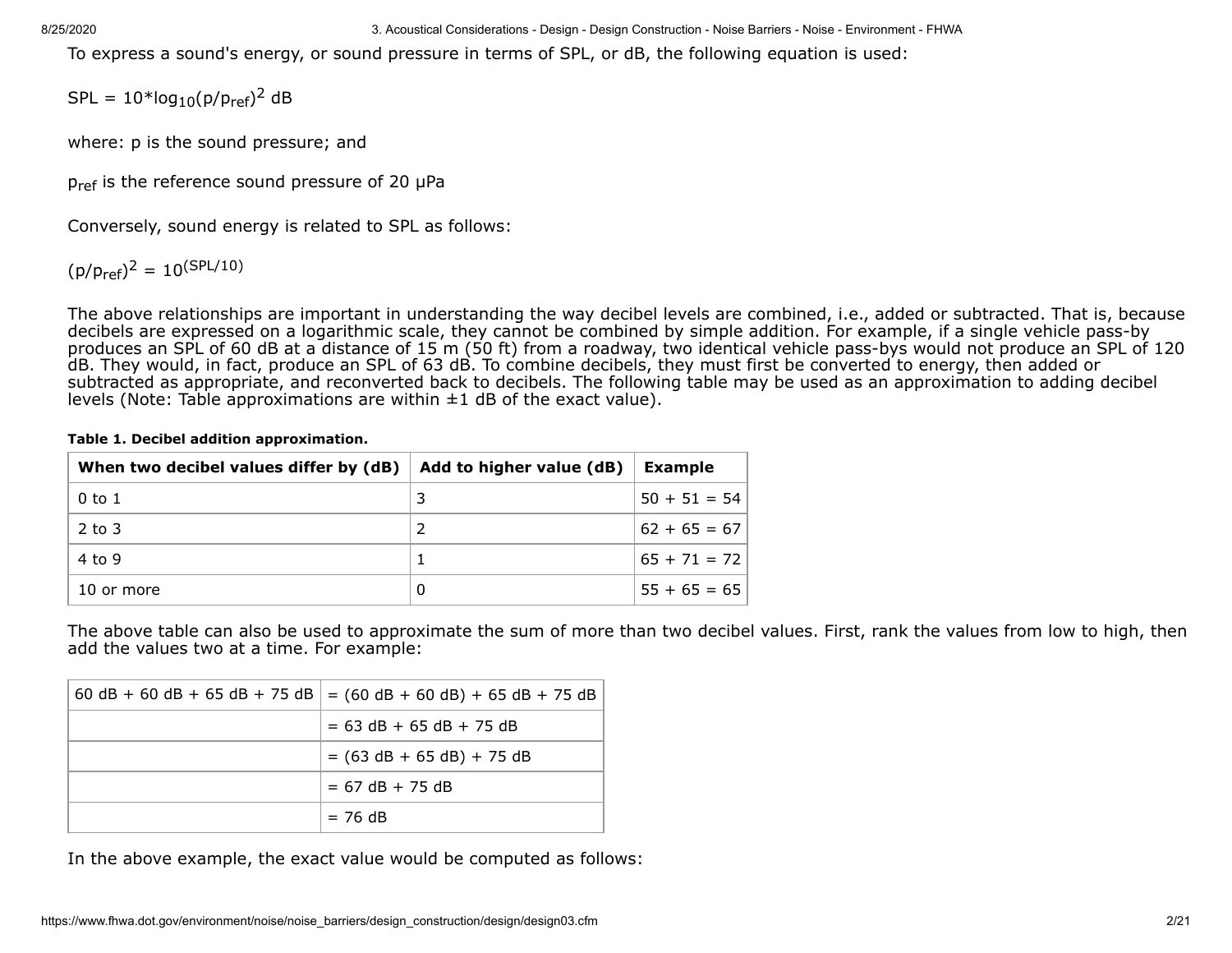To express a sound's energy, or sound pressure in terms of SPL, or dB, the following equation is used:

 $SPL = 10*log_{10}(p/p_{ref})^2$  dB

where: p is the sound pressure; and

 $p_{ref}$  is the reference sound pressure of 20  $\mu$ Pa

Conversely, sound energy is related to SPL as follows:

 $(p/p_{\text{ref}})^2 = 10^{(\text{SPL}/10)}$ 

The above relationships are important in understanding the way decibel levels are combined, i.e., added or subtracted. That is, because decibels are expressed on a logarithmic scale, they cannot be combined by simple addition. For example, if a single vehicle pass-by produces an SPL of 60 dB at a distance of 15 m (50 ft) from a roadway, two identical vehicle pass-bys would not produce an SPL of 120 dB. They would, in fact, produce an SPL of 63 dB. To combine decibels, they must first be converted to energy, then added or subtracted as appropriate, and reconverted back to decibels. The following table may be used as an approximation to adding decibel levels (Note: Table approximations are within  $\pm 1$  dB of the exact value).

|  |  |  | Table 1. Decibel addition approximation. |
|--|--|--|------------------------------------------|
|--|--|--|------------------------------------------|

| When two decibel values differ by (dB) | Add to higher value (dB) | <b>Example</b> |
|----------------------------------------|--------------------------|----------------|
| 0 to 1                                 |                          | $50 + 51 = 54$ |
| $2$ to 3                               |                          | $62 + 65 = 67$ |
| 4 to 9                                 |                          | $65 + 71 = 72$ |
| 10 or more                             | 0                        | $55 + 65 = 65$ |

The above table can also be used to approximate the sum of more than two decibel values. First, rank the values from low to high, then add the values two at a time. For example:

| $60 dB + 60 dB + 65 dB + 75 dB$ = $(60 dB + 60 dB) + 65 dB + 75 dB$ |
|---------------------------------------------------------------------|
| $= 63$ dB + 65 dB + 75 dB                                           |
| $= (63 dB + 65 dB) + 75 dB$                                         |
| $= 67$ dB $+ 75$ dB                                                 |
| $= 76$ dB                                                           |

In the above example, the exact value would be computed as follows: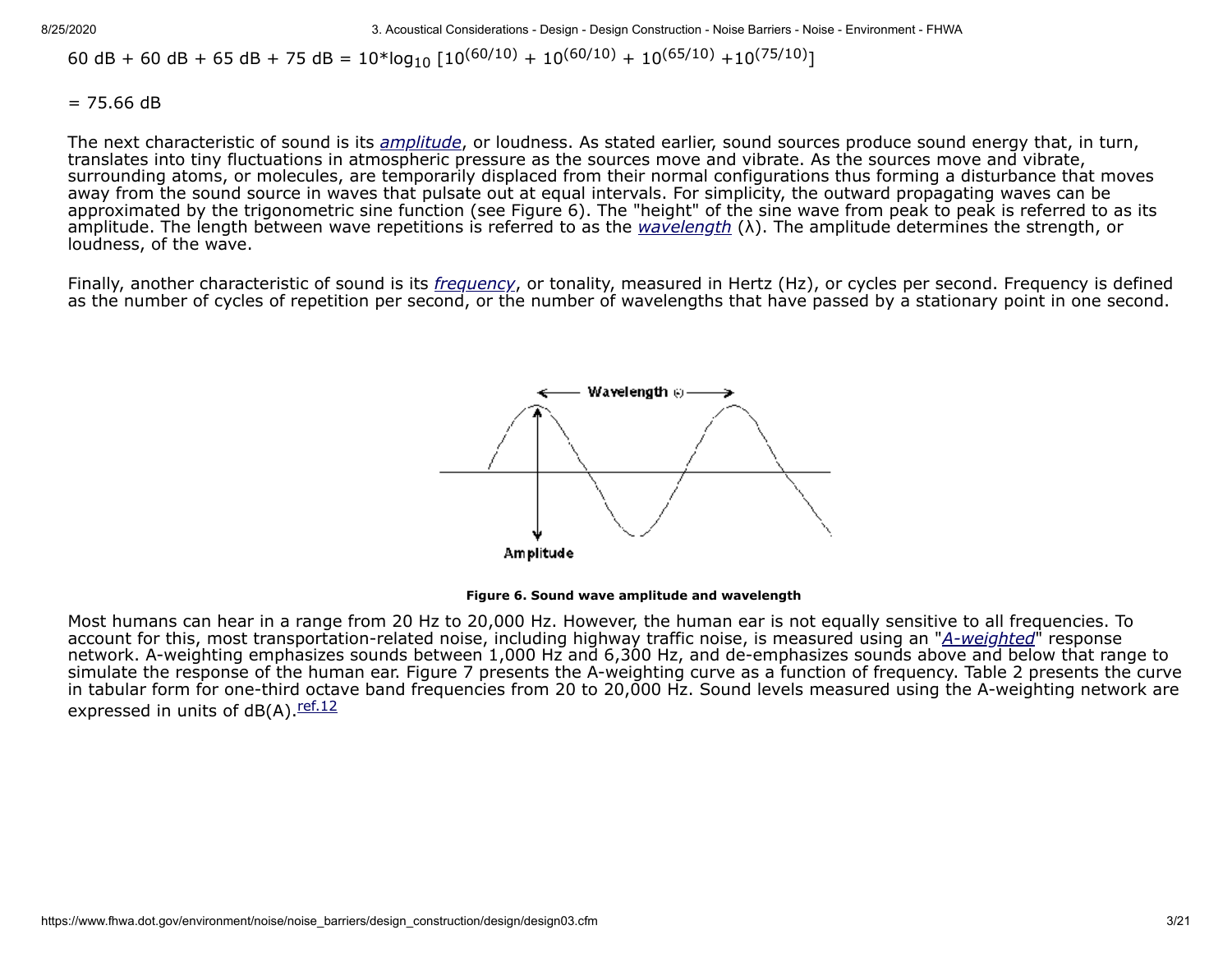60 dB + 60 dB + 65 dB + 75 dB =  $10*$ log<sub>10</sub>  $[10^{(60/10)} + 10^{(60/10)} + 10^{(65/10)} + 10^{(75/10)}]$ 

 $= 75.66$  dB

The next characteristic of sound is its *[amplitude](https://www.fhwa.dot.gov/environment/noise/noise_barriers/design_construction/design/design02.cfm#amplitude)*, or loudness. As stated earlier, sound sources produce sound energy that, in turn, translates into tiny fluctuations in atmospheric pressure as the sources move and vibrate. As the sources move and vibrate, surrounding atoms, or molecules, are temporarily displaced from their normal configurations thus forming a disturbance that moves away from the sound source in waves that pulsate out at equal intervals. For simplicity, the outward propagating waves can be approximated by the trigonometric sine function (see Figure 6). The "height" of the sine wave from peak to peak is referred to as its amplitude. The length between wave repetitions is referred to as the *[wavelength](https://www.fhwa.dot.gov/environment/noise/noise_barriers/design_construction/design/design02.cfm#wavelength)* (λ). The amplitude determines the strength, or loudness, of the wave.

Finally, another characteristic of sound is its *[frequency](https://www.fhwa.dot.gov/environment/noise/noise_barriers/design_construction/design/design02.cfm#frequency)*, or tonality, measured in Hertz (Hz), or cycles per second. Frequency is defined as the number of cycles of repetition per second, or the number of wavelengths that have passed by a stationary point in one second.





Most humans can hear in a range from 20 Hz to 20,000 Hz. However, the human ear is not equally sensitive to all frequencies. To account for this, most transportation-related noise, including highway traffic noise, is measured using an "[A-weighted](https://www.fhwa.dot.gov/environment/noise/noise_barriers/design_construction/design/design02.cfm#a-weighting)" response network. A-weighting emphasizes sounds between 1,000 Hz and 6,300 Hz, and de-emphasizes sounds above and below that range to simulate the response of the human ear. Figure 7 presents the A-weighting curve as a function of frequency. Table 2 presents the curve in tabular form for one-third octave band frequencies from 20 to 20,000 Hz. Sound levels measured using the A-weighting network are expressed in units of  $dB(A)$ . ref. 12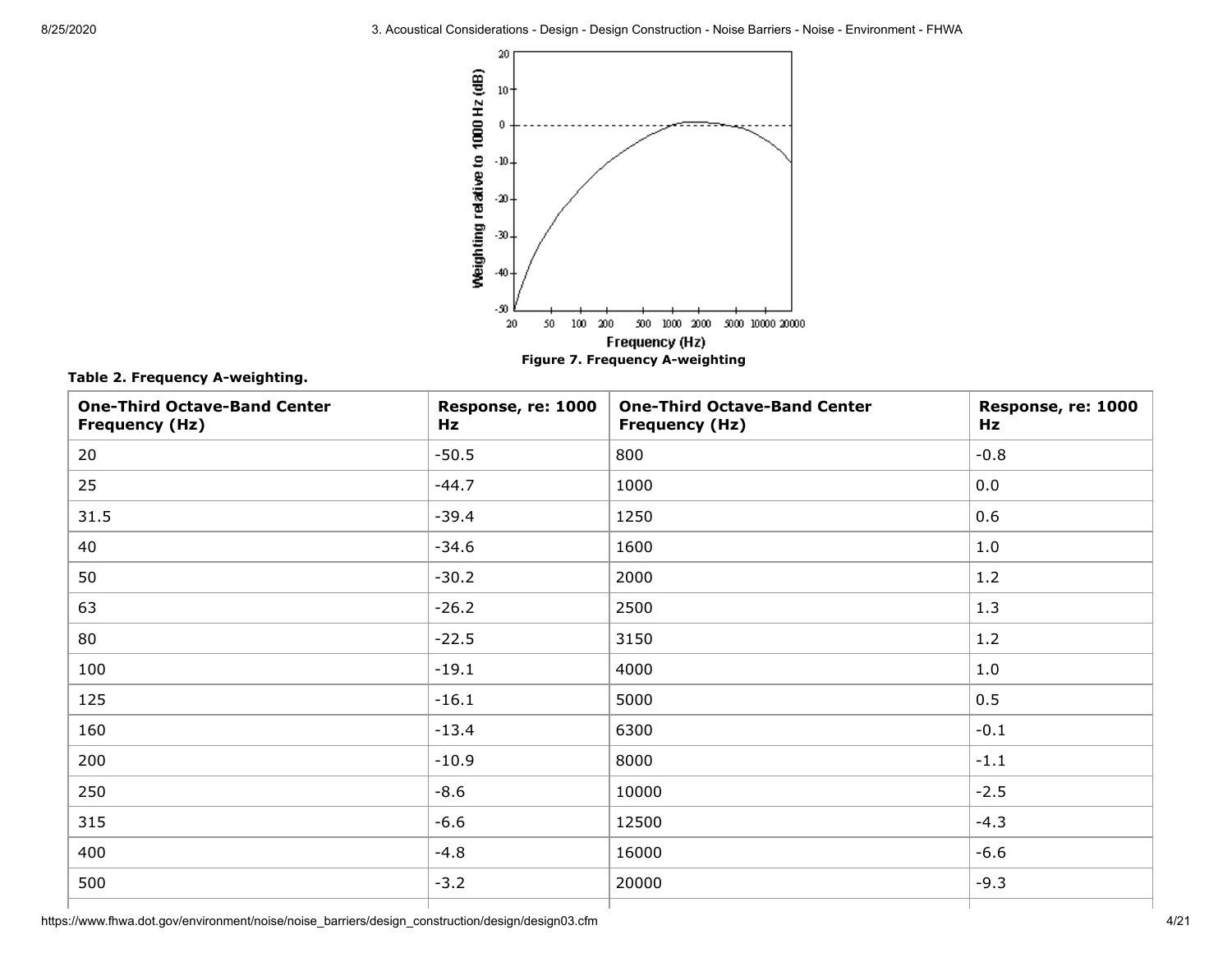

**Table 2. Frequency A-weighting.**

| <b>One-Third Octave-Band Center</b><br><b>Frequency (Hz)</b> | Response, re: 1000<br>Hz | <b>One-Third Octave-Band Center</b><br><b>Frequency (Hz)</b> | Response, re: 1000<br>Hz |
|--------------------------------------------------------------|--------------------------|--------------------------------------------------------------|--------------------------|
| 20                                                           | $-50.5$                  | 800                                                          | $-0.8$                   |
| 25                                                           | $-44.7$                  | 1000                                                         | 0.0                      |
| 31.5                                                         | $-39.4$                  | 1250                                                         | 0.6                      |
| 40                                                           | $-34.6$                  | 1600                                                         | 1.0                      |
| 50                                                           | $-30.2$                  | 2000                                                         | 1.2                      |
| 63                                                           | $-26.2$                  | 2500                                                         | 1.3                      |
| 80                                                           | $-22.5$                  | 3150                                                         | 1.2                      |
| 100                                                          | $-19.1$                  | 4000                                                         | 1.0                      |
| 125                                                          | $-16.1$                  | 5000                                                         | 0.5                      |
| 160                                                          | $-13.4$                  | 6300                                                         | $-0.1$                   |
| 200                                                          | $-10.9$                  | 8000                                                         | $-1.1$                   |
| 250                                                          | $-8.6$                   | 10000                                                        | $-2.5$                   |
| 315                                                          | $-6.6$                   | 12500                                                        | $-4.3$                   |
| 400                                                          | $-4.8$                   | 16000                                                        | $-6.6$                   |
| 500                                                          | $-3.2$                   | 20000                                                        | $-9.3$                   |
|                                                              |                          |                                                              |                          |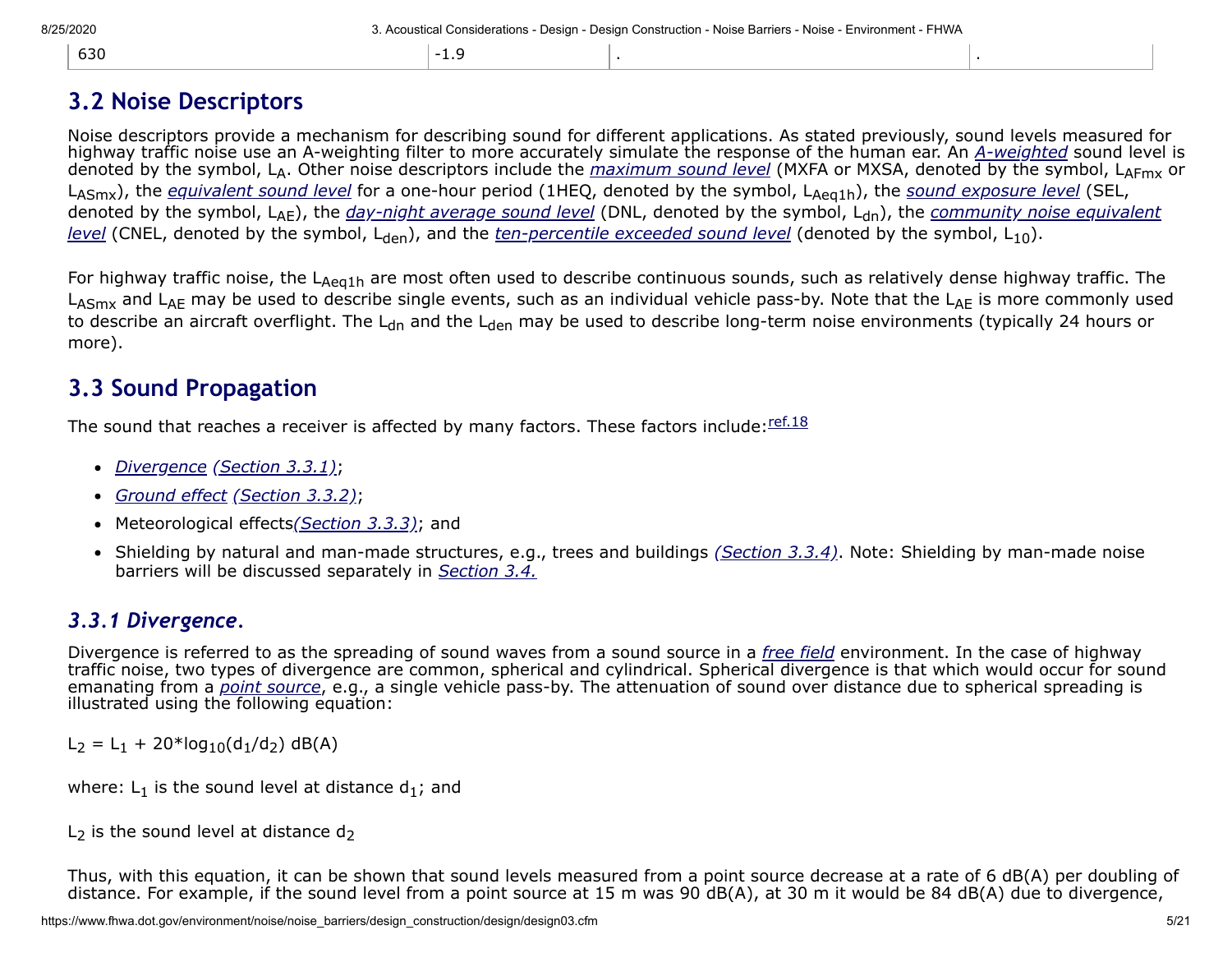| 630 | $1 - 19$<br><b>L.J</b> |  |
|-----|------------------------|--|

## **3.2 Noise Descriptors**

Noise descriptors provide a mechanism for describing sound for different applications. As stated previously, sound levels measured for highway traffic noise use an A-weighting filter to more accurately simulate the response of the human ear. An *[A-weighted](https://www.fhwa.dot.gov/environment/noise/noise_barriers/design_construction/design/design02.cfm#a-weighting)* sound level is denoted by the symbol, LA. Other noise descriptors include the *[maximum sound level](https://www.fhwa.dot.gov/environment/noise/noise_barriers/design_construction/design/design02.cfm#maximum)* (MXFA or MXSA, denoted by the symbol, LAFmx or L<sub>ASmx</sub>), the *[equivalent sound level](https://www.fhwa.dot.gov/environment/noise/noise_barriers/design_construction/design/design02.cfm#equivalent)* for a one-hour period (1HEQ, denoted by the symbol, L<sub>Aeq1h</sub>), the *[sound exposure level](https://www.fhwa.dot.gov/environment/noise/noise_barriers/design_construction/design/design02.cfm#soundexposure)* (SEL, denoted by the symbol, L<sub>AF</sub>), the *[day-night average sound level](https://www.fhwa.dot.gov/environment/noise/noise_barriers/design_construction/design/design02.cfm#day-night)* (DNL, denoted by the symbol, L<sub>dn</sub>), the *community noise equivalent level* (CNEL, denoted by the symbol, L<sub>den</sub>), and the *[ten-percentile exceeded sound level](https://www.fhwa.dot.gov/environment/noise/noise_barriers/design_construction/design/design02.cfm#community)* (denoted by the symbol, L<sub>10</sub>).

For highway traffic noise, the L<sub>Aeq1h</sub> are most often used to describe continuous sounds, such as relatively dense highway traffic. The LASmx and LAE may be used to describe single events, such as an individual vehicle pass-by. Note that the LAE is more commonly used to describe an aircraft overflight. The L<sub>dn</sub> and the L<sub>den</sub> may be used to describe long-term noise environments (typically 24 hours or more).

## **3.3 Sound Propagation**

The sound that reaches a receiver is affected by many factors. These factors include: [ref.18](https://www.fhwa.dot.gov/environment/noise/noise_barriers/design_construction/design/ref.cfm#ref18)

- *[Divergence](https://www.fhwa.dot.gov/environment/noise/noise_barriers/design_construction/design/design02.cfm#divergence) [\(Section 3.3.1\)](#page-4-0)*; •
- *[Ground effect](https://www.fhwa.dot.gov/environment/noise/noise_barriers/design_construction/design/design02.cfm#groundeffect) [\(Section 3.3.2\)](#page-5-0)*; •
- Meteorological effects*[\(Section 3.3.3\)](#page-5-1)*; and •
- Shielding by natural and man-made structures, e.g., trees and buildings *[\(Section 3.3.4\)](#page-6-0)*. Note: Shielding by man-made noise barriers will be discussed separately in *[Section 3.4.](#page-6-1)*

## <span id="page-4-0"></span>*3.3.1 Divergence.*

Divergence is referred to as the spreading of sound waves from a sound source in a *[free field](https://www.fhwa.dot.gov/environment/noise/noise_barriers/design_construction/design/design02.cfm#free)* environment. In the case of highway traffic noise, two types of divergence are common, spherical and cylindrical. Spherical divergence is that which would occur for sound emanating from a *[point source](https://www.fhwa.dot.gov/environment/noise/noise_barriers/design_construction/design/design02.cfm#pointsource)*, e.g., a single vehicle pass-by. The attenuation of sound over distance due to spherical spreading is illustrated using the following equation:

 $L_2 = L_1 + 20*log_{10}(d_1/d_2)$  dB(A)

where:  $L_1$  is the sound level at distance  $d_1$ ; and

L<sub>2</sub> is the sound level at distance  $d_2$ 

Thus, with this equation, it can be shown that sound levels measured from a point source decrease at a rate of 6 dB(A) per doubling of distance. For example, if the sound level from a point source at 15 m was 90 dB(A), at 30 m it would be 84 dB(A) due to divergence,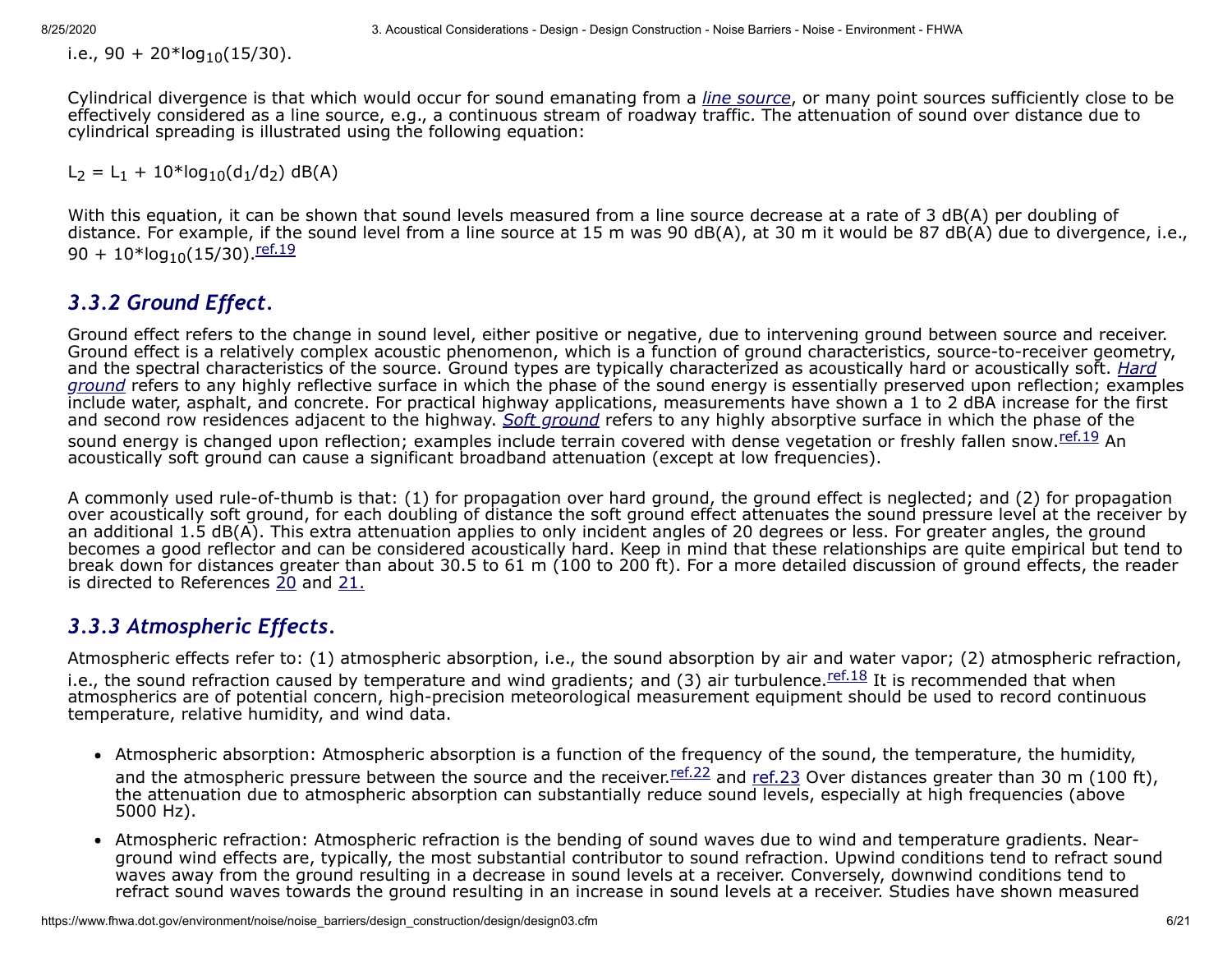i.e., 90 + 20\*log<sub>10</sub>(15/30).

Cylindrical divergence is that which would occur for sound emanating from a *[line source](https://www.fhwa.dot.gov/environment/noise/noise_barriers/design_construction/design/design02.cfm#linesource)*, or many point sources sufficiently close to be effectively considered as a line source, e.g., a continuous stream of roadway traffic. The attenuation of sound over distance due to cylindrical spreading is illustrated using the following equation:

 $L_2 = L_1 + 10*log_{10}(d_1/d_2)$  dB(A)

With this equation, it can be shown that sound levels measured from a line source decrease at a rate of 3 dB(A) per doubling of distance. For example, if the sound level from a line source at 15 m was 90 dB(A), at 30 m it would be 87 dB(A) due to divergence, i.e., 90 +  $10*$ log<sub>10</sub>(15/30). [ref.19](https://www.fhwa.dot.gov/environment/noise/noise_barriers/design_construction/design/ref.cfm#ref19)

## <span id="page-5-0"></span>*3.3.2 Ground Effect.*

Ground effect refers to the change in sound level, either positive or negative, due to intervening ground between source and receiver. Ground effect is a relatively complex acoustic phenomenon, which is a function of ground characteristics, source-to-receiver geometry, [and the spectral characteristics of the source. Ground types are typically characterized as acoustically hard or acoustically soft.](https://www.fhwa.dot.gov/environment/noise/noise_barriers/design_construction/design/design02.cfm#hard) *Hard ground* refers to any highly reflective surface in which the phase of the sound energy is essentially preserved upon reflection; examples include water, asphalt, and concrete. For practical highway applications, measurements have shown a 1 to 2 dBA increase for the first and second row residences adjacent to the highway. *[Soft ground](https://www.fhwa.dot.gov/environment/noise/noise_barriers/design_construction/design/design02.cfm#soft)* refers to any highly absorptive surface in which the phase of the sound energy is changed upon reflection; examples include terrain covered with dense vegetation or freshly fallen snow. [ref.19](https://www.fhwa.dot.gov/environment/noise/noise_barriers/design_construction/design/ref.cfm#ref19) An acoustically soft ground can cause a significant broadband attenuation (except at low frequencies).

A commonly used rule-of-thumb is that: (1) for propagation over hard ground, the ground effect is neglected; and (2) for propagation over acoustically soft ground, for each doubling of distance the soft ground effect attenuates the sound pressure level at the receiver by an additional 1.5 dB(A). This extra attenuation applies to only incident angles of 20 degrees or less. For greater angles, the ground becomes a good reflector and can be considered acoustically hard. Keep in mind that these relationships are quite empirical but tend to break down for distances greater than about 30.5 to 61 m (100 to 200 ft). For a more detailed discussion of ground effects, the reader is directed to References [20](https://www.fhwa.dot.gov/environment/noise/noise_barriers/design_construction/design/ref.cfm#ref20) and [21.](https://www.fhwa.dot.gov/environment/noise/noise_barriers/design_construction/design/ref.cfm#ref21)

## <span id="page-5-1"></span>*3.3.3 Atmospheric Effects.*

Atmospheric effects refer to: (1) atmospheric absorption, i.e., the sound absorption by air and water vapor; (2) atmospheric refraction, i.e., the sound refraction caused by temperature and wind gradients; and (3) air turbulence. **Examples** It is recommended that when atmospherics are of potential concern, high-precision meteorological measurement equipment should be used to record continuous temperature, relative humidity, and wind data.

- Atmospheric absorption: Atmospheric absorption is a function of the frequency of the sound, the temperature, the humidity, and the atmospheric pressure between the source and the receiver. **Feg. 22** and ref. 23 Over distances greater than 30 m (100 ft), the attenuation due to atmospheric absorption can substantially reduce sound levels, especially at high frequencies (above 5000 Hz).
- Atmospheric refraction: Atmospheric refraction is the bending of sound waves due to wind and temperature gradients. Nearground wind effects are, typically, the most substantial contributor to sound refraction. Upwind conditions tend to refract sound waves away from the ground resulting in a decrease in sound levels at a receiver. Conversely, downwind conditions tend to refract sound waves towards the ground resulting in an increase in sound levels at a receiver. Studies have shown measured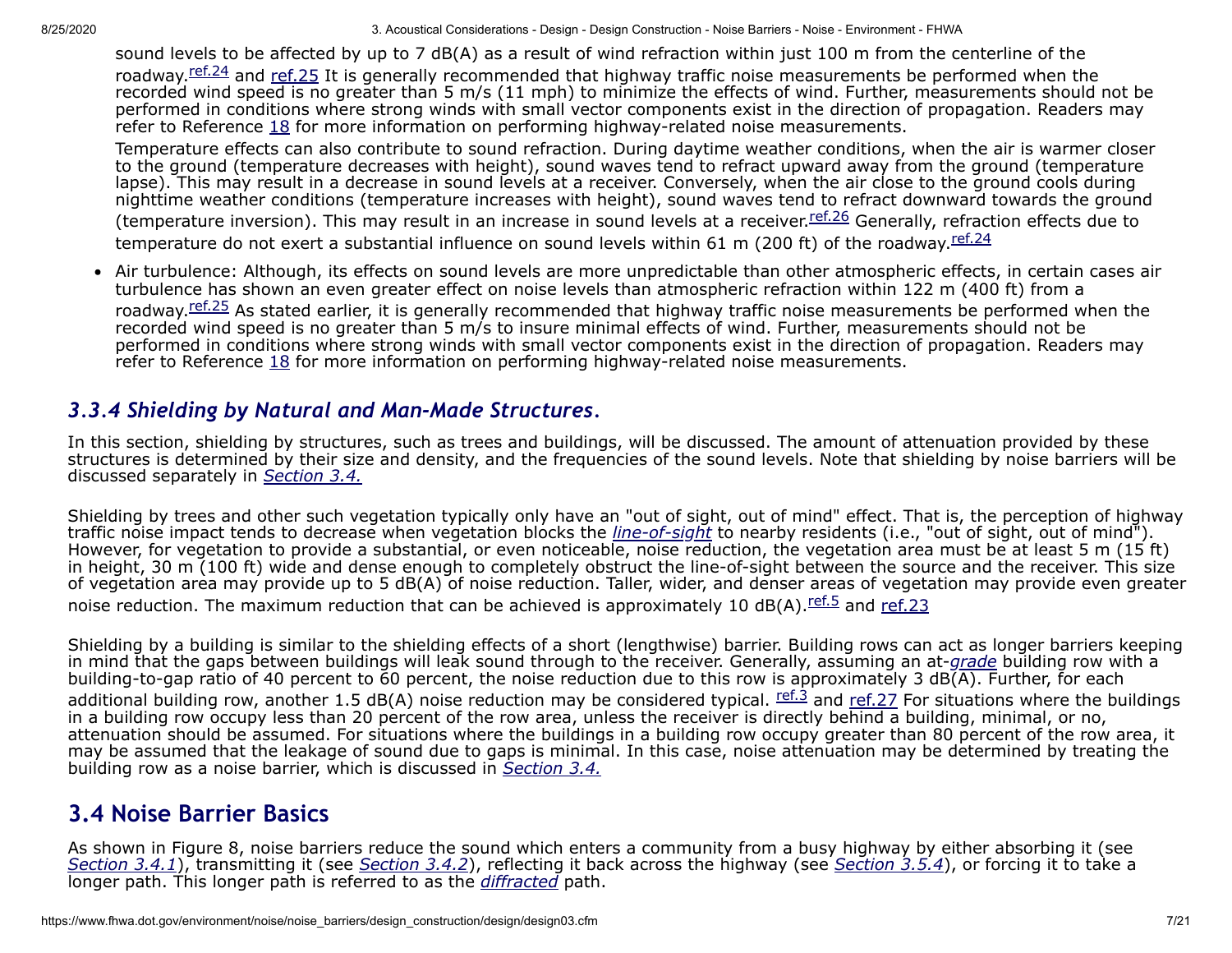sound levels to be affected by up to 7 dB(A) as a result of wind refraction within just 100 m from the centerline of the roadway.<sup>[ref.24](https://www.fhwa.dot.gov/environment/noise/noise_barriers/design_construction/design/ref.cfm#ref24)</sup> and [ref.25](https://www.fhwa.dot.gov/environment/noise/noise_barriers/design_construction/design/ref.cfm#ref25) It is generally recommended that highway traffic noise measurements be performed when the recorded wind speed is no greater than 5 m/s (11 mph) to minimize the effects of wind. Further, measurements should not be performed in conditions where strong winds with small vector components exist in the direction of propagation. Readers may refer to Reference [18](https://www.fhwa.dot.gov/environment/noise/noise_barriers/design_construction/design/ref.cfm#ref18) for more information on performing highway-related noise measurements.

Temperature effects can also contribute to sound refraction. During daytime weather conditions, when the air is warmer closer to the ground (temperature decreases with height), sound waves tend to refract upward away from the ground (temperature lapse). This may result in a decrease in sound levels at a receiver. Conversely, when the air close to the ground cools during nighttime weather conditions (temperature increases with height), sound waves tend to refract downward towards the ground (temperature inversion). This may result in an increase in sound levels at a receiver. Tef.26 Generally, refraction effects due to temperature do not exert a substantial influence on sound levels within 61 m (200 ft) of the roadway.  $ref.24$ 

• Air turbulence: Although, its effects on sound levels are more unpredictable than other atmospheric effects, in certain cases air turbulence has shown an even greater effect on noise levels than atmospheric refraction within 122 m (400 ft) from a roadway.<sup>[ref.25](https://www.fhwa.dot.gov/environment/noise/noise_barriers/design_construction/design/ref.cfm#ref25)</sup> As stated earlier, it is generally recommended that highway traffic noise measurements be performed when the recorded wind speed is no greater than 5 m/s to insure minimal effects of wind. Further, measurements should not be performed in conditions where strong winds with small vector components exist in the direction of propagation. Readers may refer to Reference [18](https://www.fhwa.dot.gov/environment/noise/noise_barriers/design_construction/design/ref.cfm#ref18) for more information on performing highway-related noise measurements.

### <span id="page-6-0"></span>*3.3.4 Shielding by Natural and Man-Made Structures.*

In this section, shielding by structures, such as trees and buildings, will be discussed. The amount of attenuation provided by these structures is determined by their size and density, and the frequencies of the sound levels. Note that shielding by noise barriers will be discussed separately in *[Section 3.4.](#page-6-1)*

Shielding by trees and other such vegetation typically only have an "out of sight, out of mind" effect. That is, the perception of highway traffic noise impact tends to decrease when vegetation blocks the *[line-of-sight](https://www.fhwa.dot.gov/environment/noise/noise_barriers/design_construction/design/design02.cfm#line)* to nearby residents (i.e., "out of sight, out of mind"). However, for vegetation to provide a substantial, or even noticeable, noise reduction, the vegetation area must be at least 5 m (15 ft) in height, 30 m (100 ft) wide and dense enough to completely obstruct the line-of-sight between the source and the receiver. This size of vegetation area may provide up to 5 dB(A) of noise reduction. Taller, wider, and denser areas of vegetation may provide even greater noise reduction. The maximum reduction that can be achieved is approximately 10 dB(A). [ref.5](https://www.fhwa.dot.gov/environment/noise/noise_barriers/design_construction/design/ref.cfm#ref5) and [ref.23](https://www.fhwa.dot.gov/environment/noise/noise_barriers/design_construction/design/ref.cfm#ref23)

Shielding by a building is similar to the shielding effects of a short (lengthwise) barrier. Building rows can act as longer barriers keeping in mind that the gaps between buildings will leak sound through to the receiver. Generally, assuming an at-*[grade](https://www.fhwa.dot.gov/environment/noise/noise_barriers/design_construction/design/design02.cfm#grade)* building row with a building-to-gap ratio of 40 percent to 60 percent, the noise reduction due to this row is approximately 3 dB( $\overline{A}$ ). Further, for each additional building row, another 1.5 dB(A) noise reduction may be considered typical.  $\frac{\text{ref.3}}{\text{ref.3}}$  $\frac{\text{ref.3}}{\text{ref.3}}$  $\frac{\text{ref.3}}{\text{ref.3}}$  and [ref.27](https://www.fhwa.dot.gov/environment/noise/noise_barriers/design_construction/design/ref.cfm#ref27) For situations where the buildings in a building row occupy less than 20 percent of the row area, unless the receiver is directly behind a building, minimal, or no, attenuation should be assumed. For situations where the buildings in a building row occupy greater than 80 percent of the row area, it may be assumed that the leakage of sound due to gaps is minimal. In this case, noise attenuation may be determined by treating the building row as a noise barrier, which is discussed in *[Section 3.4.](#page-6-1)*

## <span id="page-6-1"></span>**3.4 Noise Barrier Basics**

As shown in Figure 8, noise barriers reduce the sound which enters a community from a busy highway by either absorbing it (see *[Section 3.4.1](#page-9-0)*), transmitting it (see *[Section 3.4.2](#page-9-1)*), reflecting it back across the highway (see *[Section 3.5.4](#page-14-0)*), or forcing it to take a longer path. This longer path is referred to as the *[diffracted](https://www.fhwa.dot.gov/environment/noise/noise_barriers/design_construction/design/design02.cfm#defracted)* path.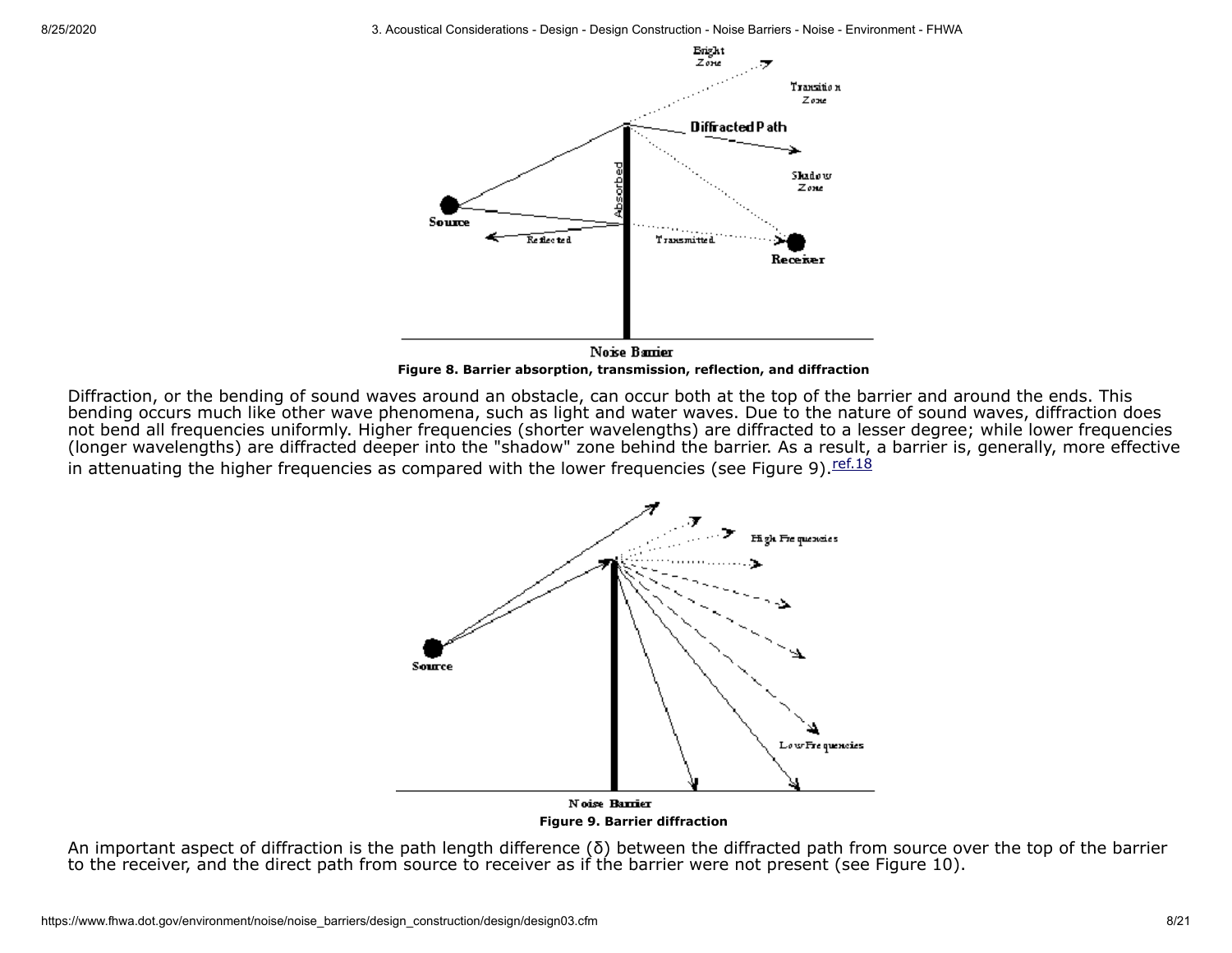8/25/2020 3. Acoustical Considerations - Design - Design Construction - Noise Barriers - Noise - Environment - FHWA



**Figure 8. Barrier absorption, transmission, reflection, and diffraction**

Diffraction, or the bending of sound waves around an obstacle, can occur both at the top of the barrier and around the ends. This bending occurs much like other wave phenomena, such as light and water waves. Due to the nature of sound waves, diffraction does not bend all frequencies uniformly. Higher frequencies (shorter wavelengths) are diffracted to a lesser degree; while lower frequencies (longer wavelengths) are diffracted deeper into the "shadow" zone behind the barrier. As a result, a barrier is, generally, more effective in attenuating the higher frequencies as compared with the lower frequencies (see Figure 9).  $\frac{ref.18}{}$  $\frac{ref.18}{}$  $\frac{ref.18}{}$ 



An important aspect of diffraction is the path length difference (δ) between the diffracted path from source over the top of the barrier to the receiver, and the direct path from source to receiver as if the barrier were not present (see Figure 10).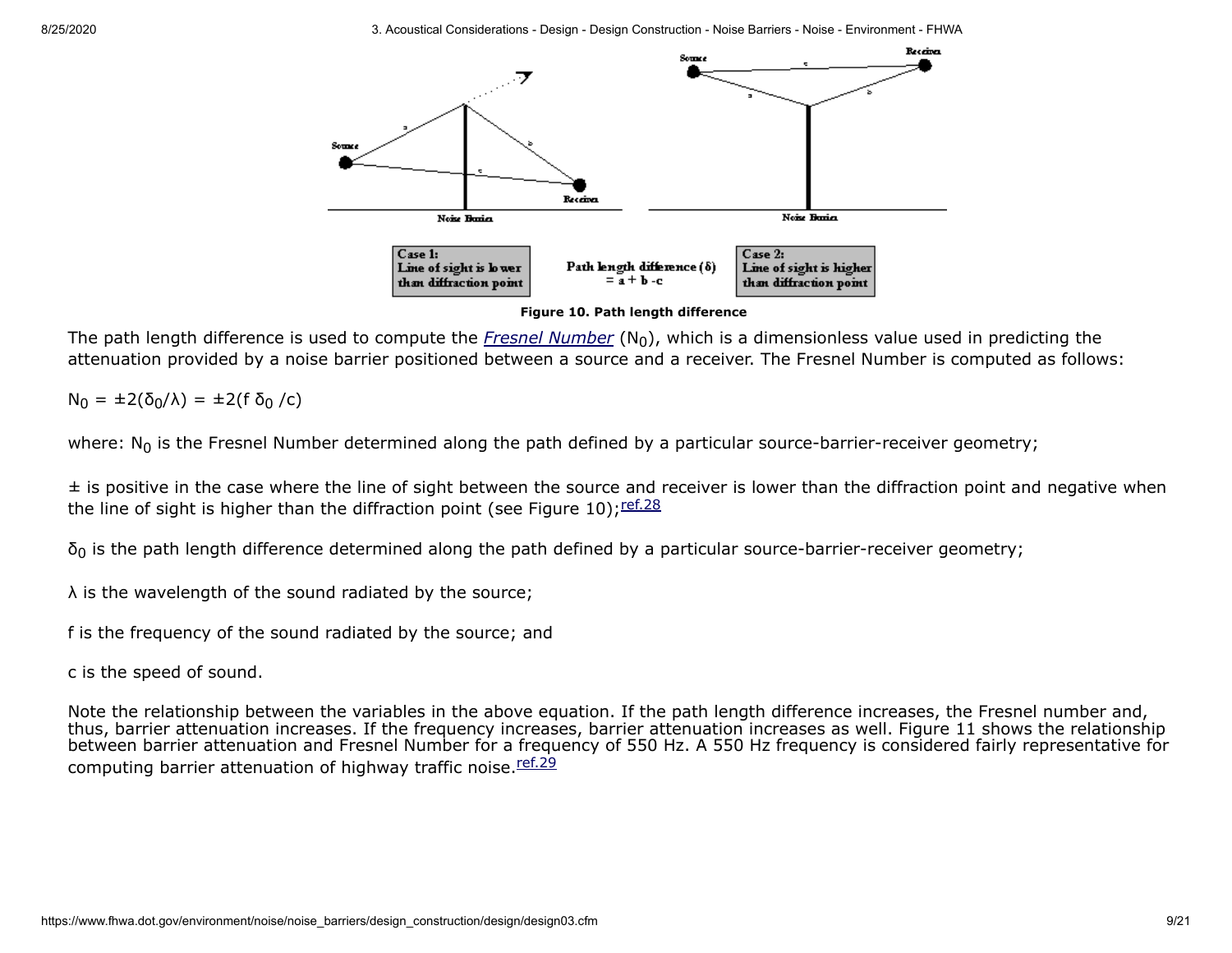

**Figure 10. Path length difference**

The path length difference is used to compute the *[Fresnel Number](https://www.fhwa.dot.gov/environment/noise/noise_barriers/design_construction/design/design02.cfm#fresnel)*  $(N_0)$ , which is a dimensionless value used in predicting the attenuation provided by a noise barrier positioned between a source and a receiver. The Fresnel Number is computed as follows:

 $N_0 = \pm 2(\delta_0/\lambda) = \pm 2(f \delta_0 /c)$ 

where:  $N_0$  is the Fresnel Number determined along the path defined by a particular source-barrier-receiver geometry;

 $\pm$  is positive in the case where the line of sight between the source and receiver is lower than the diffraction point and negative when the line of sight is higher than the diffraction point (see Figure 10);  $\frac{\text{ref.28}}{ }$  $\frac{\text{ref.28}}{ }$  $\frac{\text{ref.28}}{ }$ 

 $δ<sub>0</sub>$  is the path length difference determined along the path defined by a particular source-barrier-receiver geometry;

λ is the wavelength of the sound radiated by the source;

f is the frequency of the sound radiated by the source; and

c is the speed of sound.

Note the relationship between the variables in the above equation. If the path length difference increases, the Fresnel number and, thus, barrier attenuation increases. If the frequency increases, barrier attenuation increases as well. Figure 11 shows the relationship between barrier attenuation and Fresnel Number for a frequency of 550 Hz. A 550 Hz frequency is considered fairly representative for computing barrier attenuation of highway traffic noise.<sup>[ref.29](https://www.fhwa.dot.gov/environment/noise/noise_barriers/design_construction/design/ref.cfm#ref29)</sup>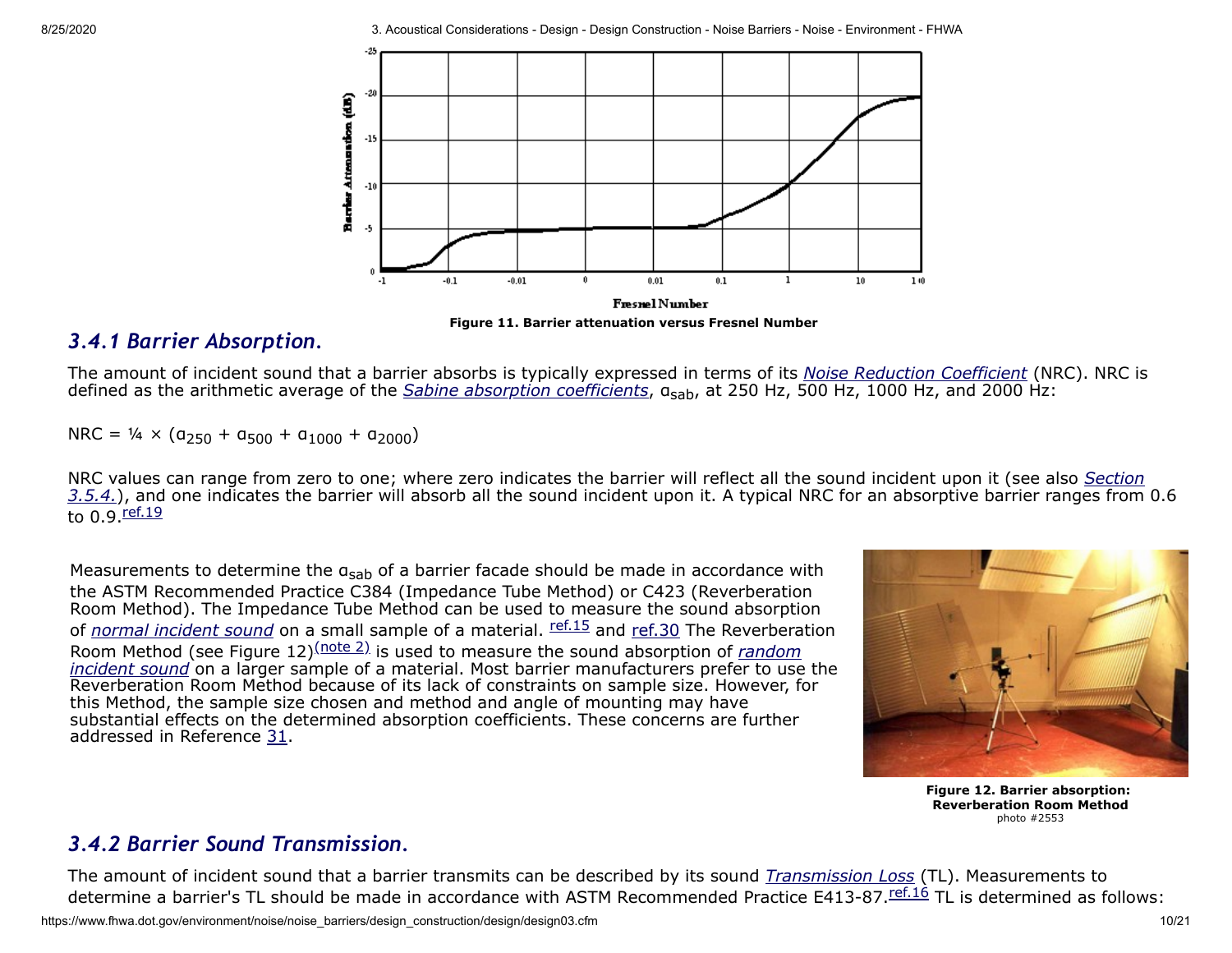

**Figure 11. Barrier attenuation versus Fresnel Number**

### <span id="page-9-0"></span>*3.4.1 Barrier Absorption.*

The amount of incident sound that a barrier absorbs is typically expressed in terms of its *[Noise Reduction Coefficient](https://www.fhwa.dot.gov/environment/noise/noise_barriers/design_construction/design/design02.cfm#nrc)* (NRC). NRC is defined as the arithmetic average of the *[Sabine absorption coefficients](https://www.fhwa.dot.gov/environment/noise/noise_barriers/design_construction/design/design02.cfm#sabine)*, αsab, at 250 Hz, 500 Hz, 1000 Hz, and 2000 Hz:

 $NRC = \frac{1}{4} \times (a_{250} + a_{500} + a_{1000} + a_{2000})$ 

NRC values can range from zero to one; where zero indicates the barrier will reflect all the sound incident upon it (see also *Section* 3.5.4.[\), and one indicates the barrier will absorb all the sound incident upon it. A typical NRC for an absorptive barrier ranges from](#page-14-0) 0.6 to 0.9 [ref.19](https://www.fhwa.dot.gov/environment/noise/noise_barriers/design_construction/design/ref.cfm#ref19)

Measurements to determine the  $a_{sab}$  of a barrier facade should be made in accordance with the ASTM Recommended Practice C384 (Impedance Tube Method) or C423 (Reverberation Room Method). The Impedance Tube Method can be used to measure the sound absorption of *[normal incident sound](https://www.fhwa.dot.gov/environment/noise/noise_barriers/design_construction/design/design02.cfm#normal)* on a small sample of a material. **[ref.15](https://www.fhwa.dot.gov/environment/noise/noise_barriers/design_construction/design/ref.cfm#ref15)** and [ref.30](https://www.fhwa.dot.gov/environment/noise/noise_barriers/design_construction/design/ref.cfm#ref30) The Reverberation Room Method (see Figure 12)<sup>[\(note 2\)](https://www.fhwa.dot.gov/environment/noise/noise_barriers/design_construction/design/notes.cfm#2)</sup> is used to measure the sound absorption of *random incident sound* [on a larger sample of a material. Most barrier manufacturers prefer to use](https://www.fhwa.dot.gov/environment/noise/noise_barriers/design_construction/design/design02.cfm#random) the Reverberation Room Method because of its lack of constraints on sample size. However, for this Method, the sample size chosen and method and angle of mounting may have substantial effects on the determined absorption coefficients. These concerns are further addressed in Reference [31.](https://www.fhwa.dot.gov/environment/noise/noise_barriers/design_construction/design/ref.cfm#ref31)



**Figure 12. Barrier absorption: Reverberation Room Method** photo #2553

## <span id="page-9-1"></span>*3.4.2 Barrier Sound Transmission.*

The amount of incident sound that a barrier transmits can be described by its sound *[Transmission Loss](https://www.fhwa.dot.gov/environment/noise/noise_barriers/design_construction/design/design02.cfm#transmission)* (TL). Measurements to determine a barrier's TL should be made in accordance with ASTM Recommended Practice E413-87. The is determined as follows: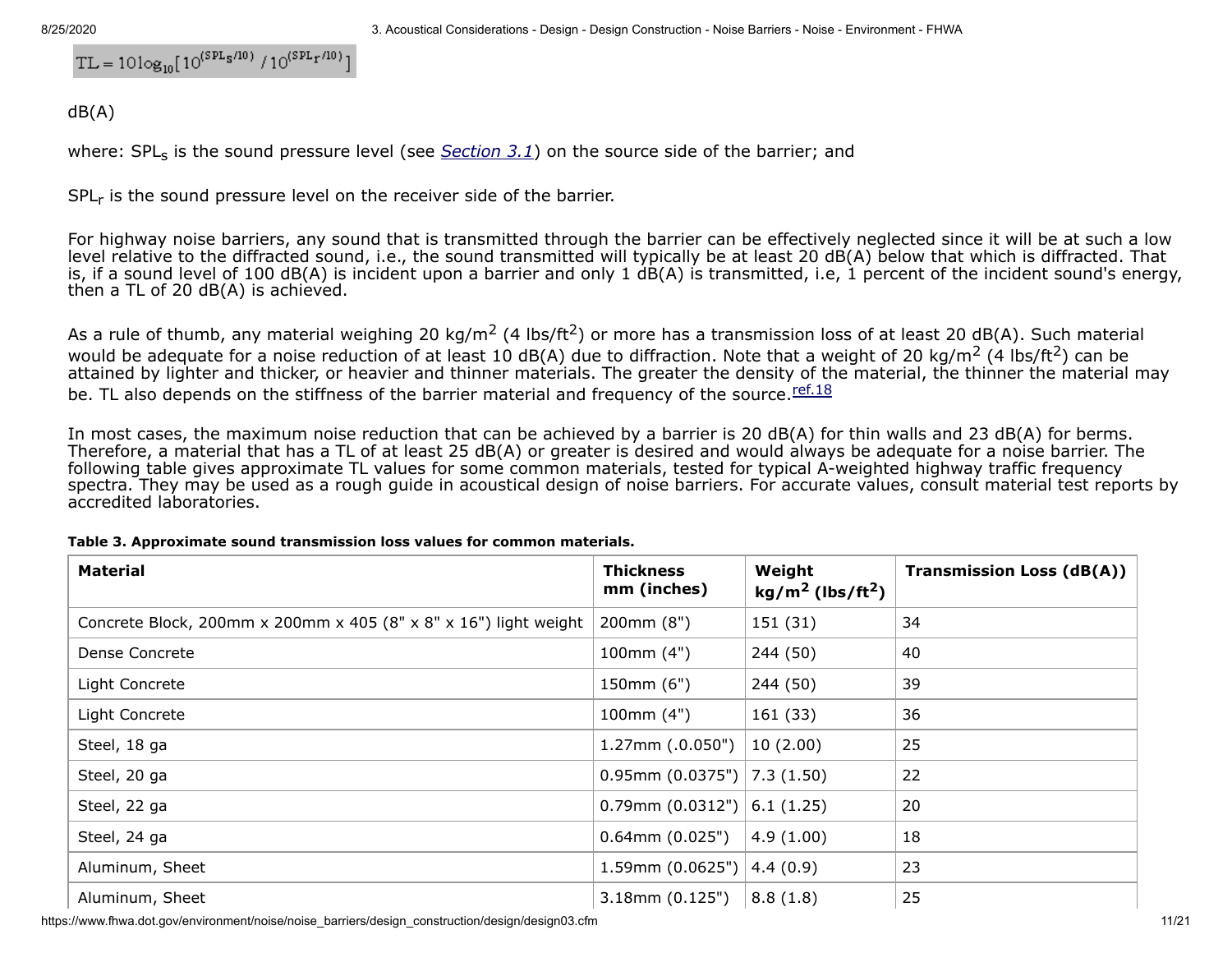$$
TL = 10\log_{10}[10^{(SPL_S/10)}/10^{(SPL_T/10)}]
$$

dB(A)

where: SPL<sub>s</sub> is the sound pressure level (see *[Section 3.1](#page-0-0)*) on the source side of the barrier; and

SPL<sub>r</sub> is the sound pressure level on the receiver side of the barrier.

For highway noise barriers, any sound that is transmitted through the barrier can be effectively neglected since it will be at such a low level relative to the diffracted sound, i.e., the sound transmitted will typically be at least 20 dB(A) below that which is diffracted. That is, if a sound level of 100 dB(A) is incident upon a barrier and only 1 dB(A) is transmitted, i.e, 1 percent of the incident sound's energy, then a TL of 20 dB(A) is achieved.

As a rule of thumb, any material weighing 20 kg/m<sup>2</sup> (4 lbs/ft<sup>2</sup>) or more has a transmission loss of at least 20 dB(A). Such material would be adequate for a noise reduction of at least 10 dB(A) due to diffraction. Note that a weight of 20 kg/m<sup>2</sup> (4 lbs/ft<sup>2</sup>) can be attained by lighter and thicker, or heavier and thinner materials. The greater the density of the material, the thinner the material may be. TL also depends on the stiffness of the barrier material and frequency of the source. [ref.18](https://www.fhwa.dot.gov/environment/noise/noise_barriers/design_construction/design/ref.cfm#ref18)

In most cases, the maximum noise reduction that can be achieved by a barrier is 20 dB(A) for thin walls and 23 dB(A) for berms. Therefore, a material that has a TL of at least 25 dB(A) or greater is desired and would always be adequate for a noise barrier. The following table gives approximate TL values for some common materials, tested for typical A-weighted highway traffic frequency spectra. They may be used as a rough quide in acoustical design of noise barriers. For accurate values, consult material test reports by accredited laboratories.

| <b>Material</b>                                                  | <b>Thickness</b><br>mm (inches) | Weight<br>$kg/m2$ (lbs/ft <sup>2</sup> ) | <b>Transmission Loss (dB(A))</b> |
|------------------------------------------------------------------|---------------------------------|------------------------------------------|----------------------------------|
| Concrete Block, 200mm x 200mm x 405 (8" x 8" x 16") light weight | 200mm (8")                      | 151 (31)                                 | 34                               |
| Dense Concrete                                                   | 100mm $(4")$                    | 244 (50)                                 | 40                               |
| Light Concrete                                                   | 150mm (6")                      | 244 (50)                                 | 39                               |
| Light Concrete                                                   | 100mm(4")                       | 161(33)                                  | 36                               |
| Steel, 18 ga                                                     | $1.27$ mm $(.0.050")$           | 10(2.00)                                 | 25                               |
| Steel, 20 ga                                                     | $0.95$ mm $(0.0375")$           | 7.3(1.50)                                | 22                               |
| Steel, 22 ga                                                     | $0.79$ mm (0.0312")             | 6.1(1.25)                                | 20                               |
| Steel, 24 ga                                                     | $0.64$ mm $(0.025")$            | 4.9(1.00)                                | 18                               |
| Aluminum, Sheet                                                  | 1.59mm (0.0625")                | 4.4(0.9)                                 | 23                               |
| Aluminum, Sheet                                                  | $3.18$ mm $(0.125")$            | 8.8(1.8)                                 | 25                               |

#### **Table 3. Approximate sound transmission loss values for common materials.**

https://www.fhwa.dot.gov/environment/noise/noise\_barriers/design\_construction/design03.cfm 11/21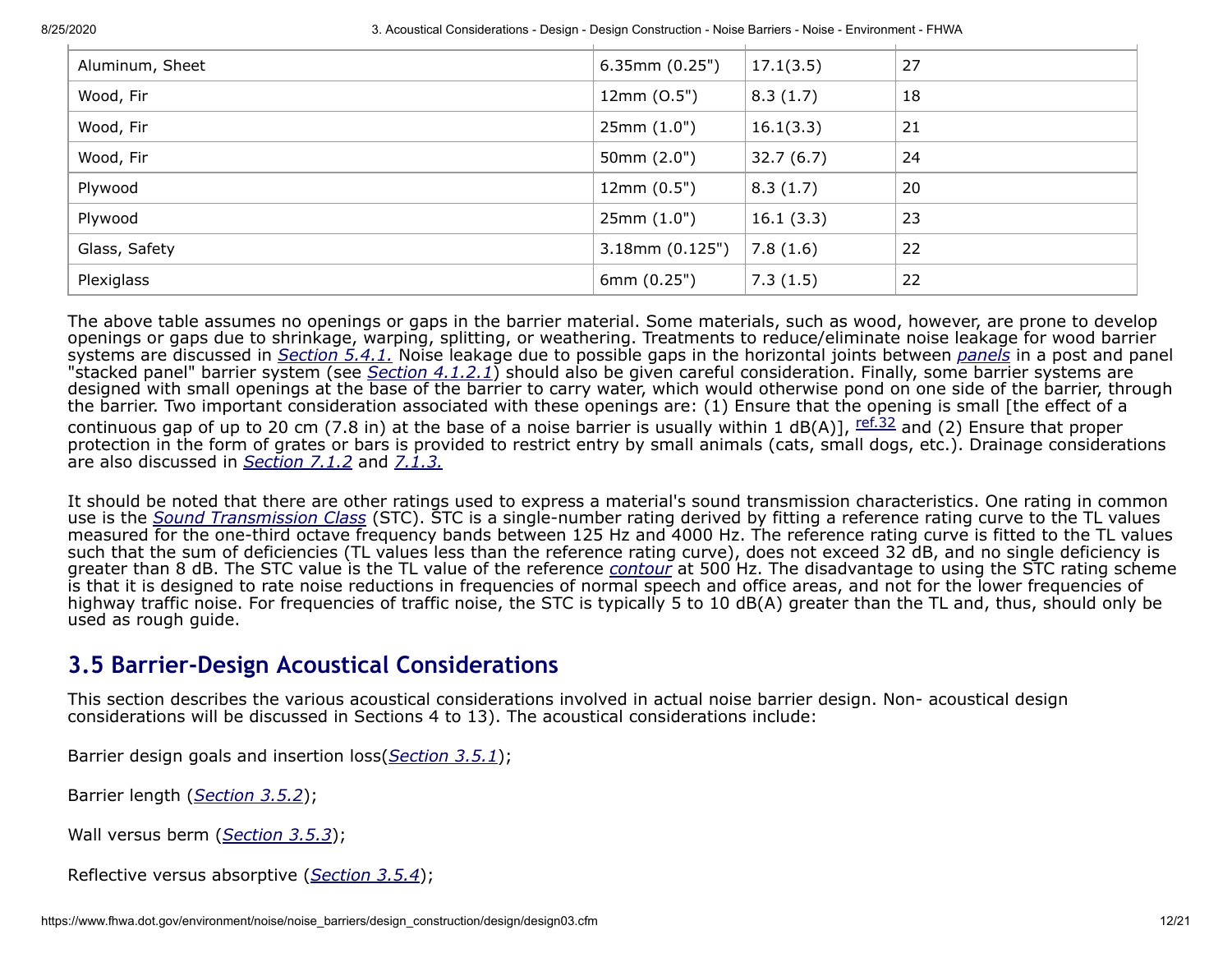| Aluminum, Sheet | $6.35$ mm $(0.25")$  | 17.1(3.5) | 27 |
|-----------------|----------------------|-----------|----|
| Wood, Fir       | 12mm (0.5")          | 8.3(1.7)  | 18 |
| Wood, Fir       | 25mm(1.0")           | 16.1(3.3) | 21 |
| Wood, Fir       | 50mm $(2.0")$        | 32.7(6.7) | 24 |
| Plywood         | 12mm(0.5")           | 8.3(1.7)  | 20 |
| Plywood         | 25mm(1.0")           | 16.1(3.3) | 23 |
| Glass, Safety   | $3.18$ mm $(0.125")$ | 7.8(1.6)  | 22 |
| Plexiglass      | 6mm (0.25")          | 7.3(1.5)  | 22 |
|                 |                      |           |    |

The above table assumes no openings or gaps in the barrier material. Some materials, such as wood, however, are prone to develop openings or gaps due to shrinkage, warping, splitting, or weathering. Treatments to reduce/eliminate noise leakage for wood barrier systems are discussed in *[Section 5.4.1.](https://www.fhwa.dot.gov/environment/noise/noise_barriers/design_construction/design/design05.cfm#sec5.4.1)* Noise leakage due to possible gaps in the horizontal joints between *[panels](https://www.fhwa.dot.gov/environment/noise/noise_barriers/design_construction/design/design02.cfm#panel)* in a post and panel "stacked panel" barrier system (see *[Section 4.1.2.1](https://www.fhwa.dot.gov/environment/noise/noise_barriers/design_construction/design/design04.cfm#sec4.1.2.1)*) should also be given careful consideration. Finally, some barrier systems are designed with small openings at the base of the barrier to carry water, which would otherwise pond on one side of the barrier, through the barrier. Two important consideration associated with these openings are: (1) Ensure that the opening is small [the effect of a continuous gap of up to 20 cm (7.8 in) at the base of a noise barrier is usually within 1 dB(A)],  $\frac{\text{ref.32}}{\text{ref.32}}$  $\frac{\text{ref.32}}{\text{ref.32}}$  $\frac{\text{ref.32}}{\text{ref.32}}$  and (2) Ensure that proper protection in the form of grates or bars is provided to restrict entry by small animals (cats, small dogs, etc.). Drainage considerations are also discussed in *[Section 7.1.2](https://www.fhwa.dot.gov/environment/noise/noise_barriers/design_construction/design/design07.cfm#sec7.1.2)* and *[7.1.3.](https://www.fhwa.dot.gov/environment/noise/noise_barriers/design_construction/design/design07.cfm#sec7.1.3)*

It should be noted that there are other ratings used to express a material's sound transmission characteristics. One rating in common use is the *[Sound Transmission Class](https://www.fhwa.dot.gov/environment/noise/noise_barriers/design_construction/design/design02.cfm#stc)* (STC). STC is a single-number rating derived by fitting a reference rating curve to the TL values measured for the one-third octave frequency bands between 125 Hz and 4000 Hz. The reference rating curve is fitted to the TL values such that the sum of deficiencies (TL values less than the reference rating curve), does not exceed 32 dB, and no single deficiency is greater than 8 dB. The STC value is the TL value of the reference *[contour](https://www.fhwa.dot.gov/environment/noise/noise_barriers/design_construction/design/design02.cfm#contour)* at 500 Hz. The disadvantage to using the STC rating scheme is that it is designed to rate noise reductions in frequencies of normal speech and office areas, and not for the lower frequencies of highway traffic noise. For frequencies of traffic noise, the STC is typically 5 to 10 dB(A) greater than the TL and, thus, should only be used as rough guide.

## **3.5 Barrier-Design Acoustical Considerations**

This section describes the various acoustical considerations involved in actual noise barrier design. Non- acoustical design considerations will be discussed in Sections 4 to 13). The acoustical considerations include:

Barrier design goals and insertion loss(*[Section 3.5.1](#page-12-0)*);

Barrier length (*[Section 3.5.2](#page-13-0)*);

Wall versus berm (*[Section 3.5.3](#page-14-1)*);

Reflective versus absorptive (*[Section 3.5.4](#page-14-0)*);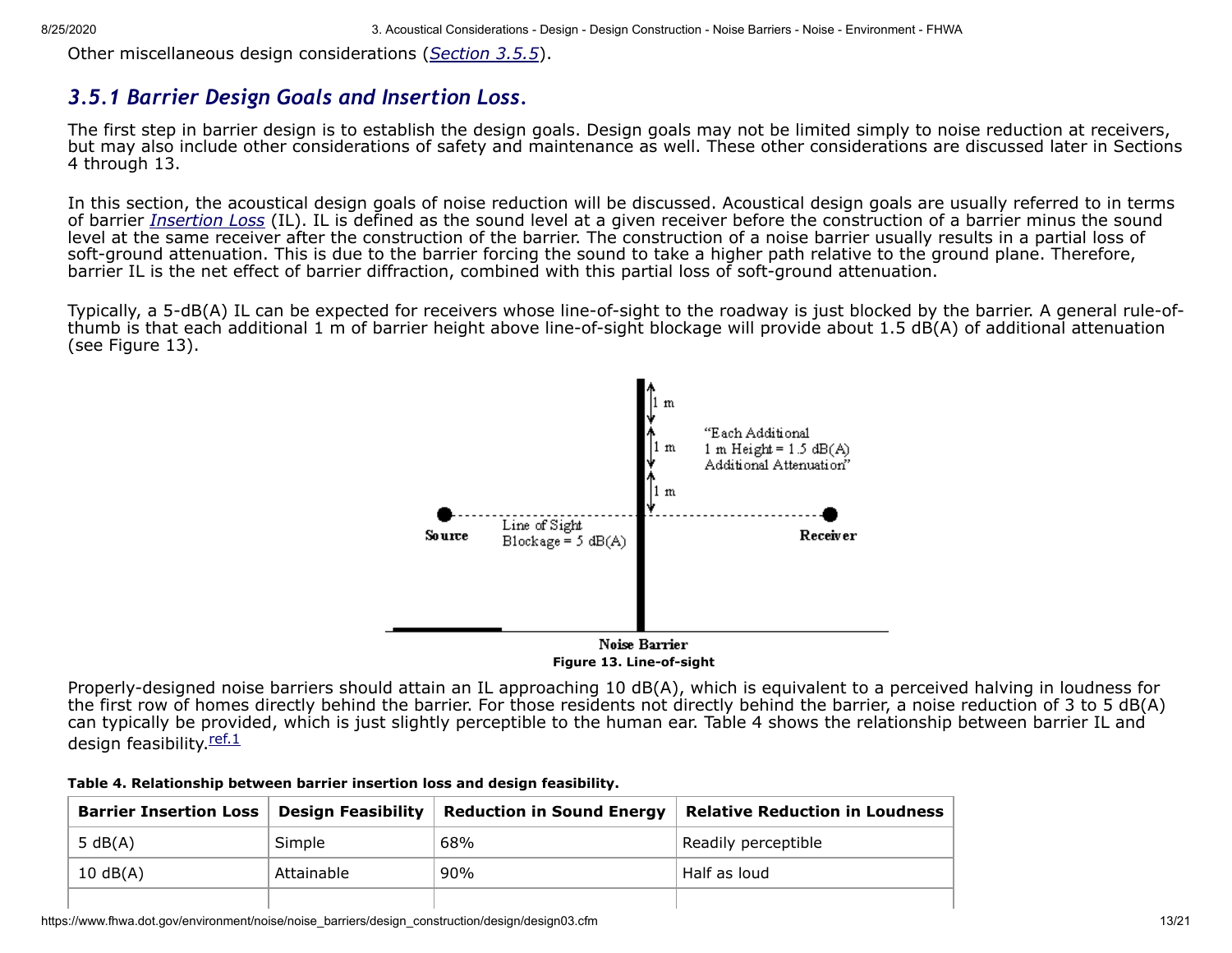Other miscellaneous design considerations (*[Section 3.5.5](#page-17-0)*).

### <span id="page-12-0"></span>*3.5.1 Barrier Design Goals and Insertion Loss.*

The first step in barrier design is to establish the design goals. Design goals may not be limited simply to noise reduction at receivers, but may also include other considerations of safety and maintenance as well. These other considerations are discussed later in Sections 4 through 13.

In this section, the acoustical design goals of noise reduction will be discussed. Acoustical design goals are usually referred to in terms of barrier *[Insertion Loss](https://www.fhwa.dot.gov/environment/noise/noise_barriers/design_construction/design/design02.cfm#insertion)* (IL). IL is defined as the sound level at a given receiver before the construction of a barrier minus the sound level at the same receiver after the construction of the barrier. The construction of a noise barrier usually results in a partial loss of soft-ground attenuation. This is due to the barrier forcing the sound to take a higher path relative to the ground plane. Therefore, barrier IL is the net effect of barrier diffraction, combined with this partial loss of soft-ground attenuation.

Typically, a 5-dB(A) IL can be expected for receivers whose line-of-sight to the roadway is just blocked by the barrier. A general rule-ofthumb is that each additional 1 m of barrier height above line-of-sight blockage will provide about 1.5 dB(A) of additional attenuation (see Figure 13).



Properly-designed noise barriers should attain an IL approaching 10 dB(A), which is equivalent to a perceived halving in loudness for the first row of homes directly behind the barrier. For those residents not directly behind the barrier, a noise reduction of 3 to 5 dB(A) can typically be provided, which is just slightly perceptible to the human ear. Table 4 shows the relationship between barrier IL and design feasibility.[ref.1](https://www.fhwa.dot.gov/environment/noise/noise_barriers/design_construction/design/ref.cfm#ref1)

| Table 4. Relationship between barrier insertion loss and design feasibility. |  |  |  |  |  |  |
|------------------------------------------------------------------------------|--|--|--|--|--|--|
|------------------------------------------------------------------------------|--|--|--|--|--|--|

| <b>Barrier Insertion Loss   Design Feasibility</b> |            | <b>Reduction in Sound Energy</b> | <b>Relative Reduction in Loudness</b> |
|----------------------------------------------------|------------|----------------------------------|---------------------------------------|
| 5 $dB(A)$                                          | Simple     | 68%                              | Readily perceptible                   |
| $10 \text{ dB}(A)$                                 | Attainable | 90%                              | Half as loud                          |
|                                                    |            |                                  |                                       |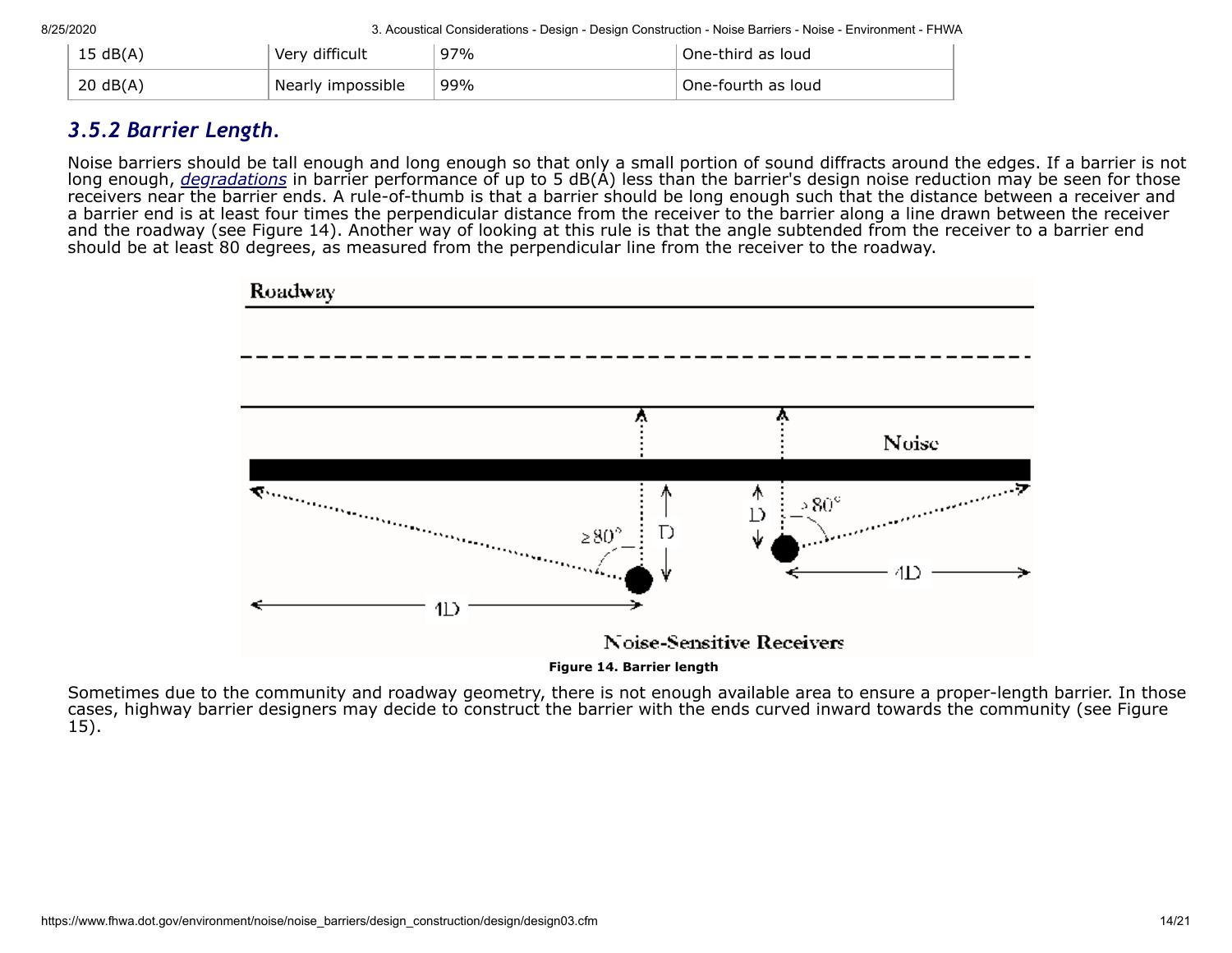| 15 dB(A) | Very difficult    | 97% | One-third as loud  |
|----------|-------------------|-----|--------------------|
| 20 dB(A) | Nearly impossible | 99% | One-fourth as loud |

### <span id="page-13-0"></span>*3.5.2 Barrier Length.*

Noise barriers should be tall enough and long enough so that only a small portion of sound diffracts around the edges. If a barrier is not long enough, *[degradations](https://www.fhwa.dot.gov/environment/noise/noise_barriers/design_construction/design/design02.cfm#degradation)* in barrier performance of up to 5 dB(A) less than the barrier's design noise reduction may be seen for those receivers near the barrier ends. A rule-of-thumb is that a barrier should be long enough such that the distance between a receiver and a barrier end is at least four times the perpendicular distance from the receiver to the barrier along a line drawn between the receiver and the roadway (see Figure 14). Another way of looking at this rule is that the angle subtended from the receiver to a barrier end should be at least 80 degrees, as measured from the perpendicular line from the receiver to the roadway.



Sometimes due to the community and roadway geometry, there is not enough available area to ensure a proper-length barrier. In those cases, highway barrier designers may decide to construct the barrier with the ends curved inward towards the community (see Figure 15).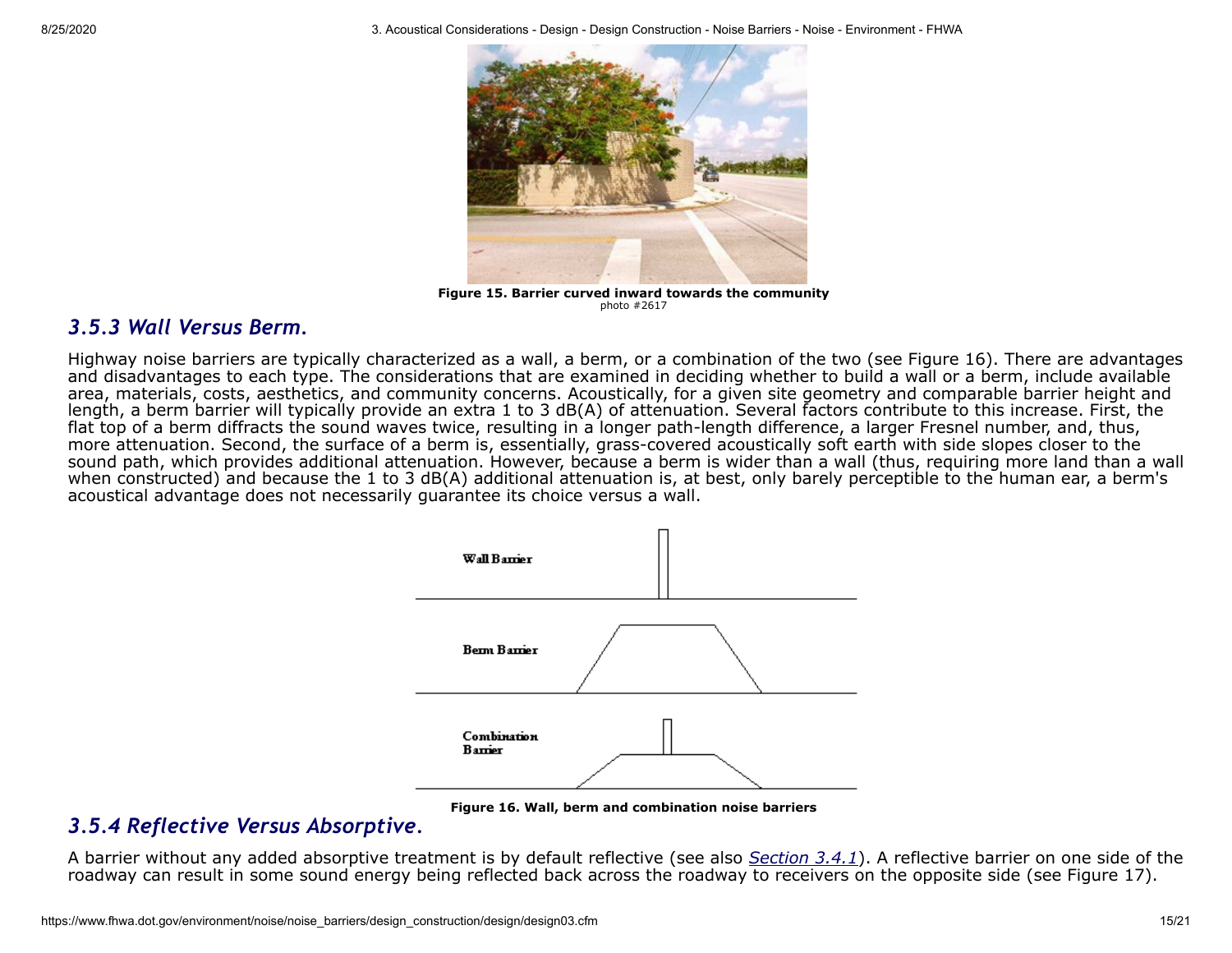

**Figure 15. Barrier curved inward towards the community** photo #2617

### <span id="page-14-1"></span>*3.5.3 Wall Versus Berm.*

Highway noise barriers are typically characterized as a wall, a berm, or a combination of the two (see Figure 16). There are advantages and disadvantages to each type. The considerations that are examined in deciding whether to build a wall or a berm, include available area, materials, costs, aesthetics, and community concerns. Acoustically, for a given site geometry and comparable barrier height and length, a berm barrier will typically provide an extra 1 to 3 dB(A) of attenuation. Several factors contribute to this increase. First, the flat top of a berm diffracts the sound waves twice, resulting in a longer path-length difference, a larger Fresnel number, and, thus, more attenuation. Second, the surface of a berm is, essentially, grass-covered acoustically soft earth with side slopes closer to the sound path, which provides additional attenuation. However, because a berm is wider than a wall (thus, requiring more land than a wall when constructed) and because the 1 to 3 dB(A) additional attenuation is, at best, only barely perceptible to the human ear, a berm's acoustical advantage does not necessarily guarantee its choice versus a wall.



**Figure 16. Wall, berm and combination noise barriers**

### <span id="page-14-0"></span>*3.5.4 Reflective Versus Absorptive.*

A barrier without any added absorptive treatment is by default reflective (see also *[Section 3.4.1](#page-9-0)*). A reflective barrier on one side of the roadway can result in some sound energy being reflected back across the roadway to receivers on the opposite side (see Figure 17).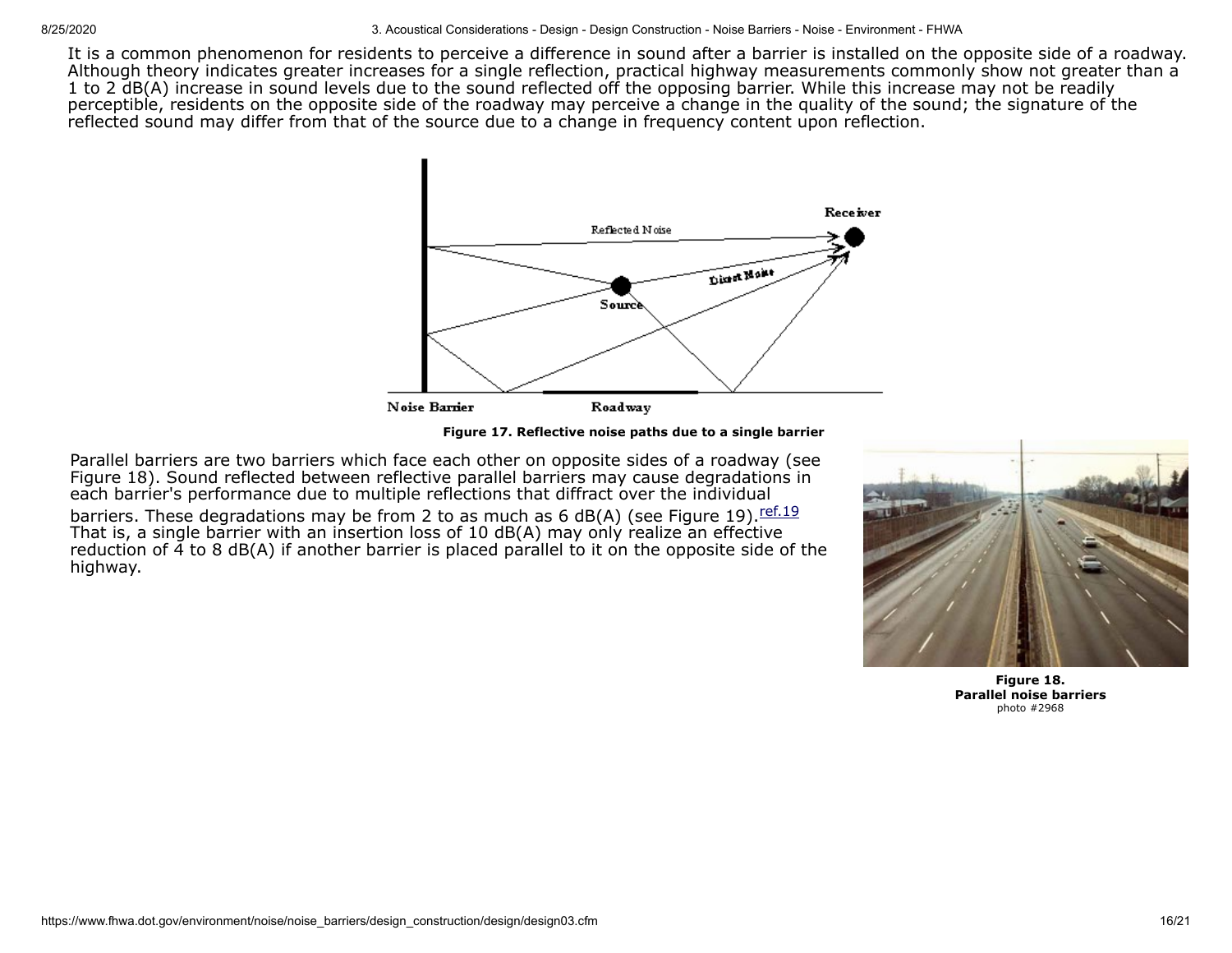It is a common phenomenon for residents to perceive a difference in sound after a barrier is installed on the opposite side of a roadway. Although theory indicates greater increases for a single reflection, practical highway measurements commonly show not greater than a 1 to 2 dB(A) increase in sound levels due to the sound reflected off the opposing barrier. While this increase may not be readily perceptible, residents on the opposite side of the roadway may perceive a change in the quality of the sound; the signature of the reflected sound may differ from that of the source due to a change in frequency content upon reflection.



**Figure 17. Reflective noise paths due to a single barrier**

Parallel barriers are two barriers which face each other on opposite sides of a roadway (see Figure 18). Sound reflected between reflective parallel barriers may cause degradations in each barrier's performance due to multiple reflections that diffract over the individual barriers. These degradations may be from 2 to as much as 6 dB(A) (see Figure 19).  $ref.19$ That is, a single barrier with an insertion loss of 10 dB(A) may only realize an effective reduction of  $\overline{4}$  to 8 dB(A) if another barrier is placed parallel to it on the opposite side of the highway.



**Figure 18. Parallel noise barriers** photo #2968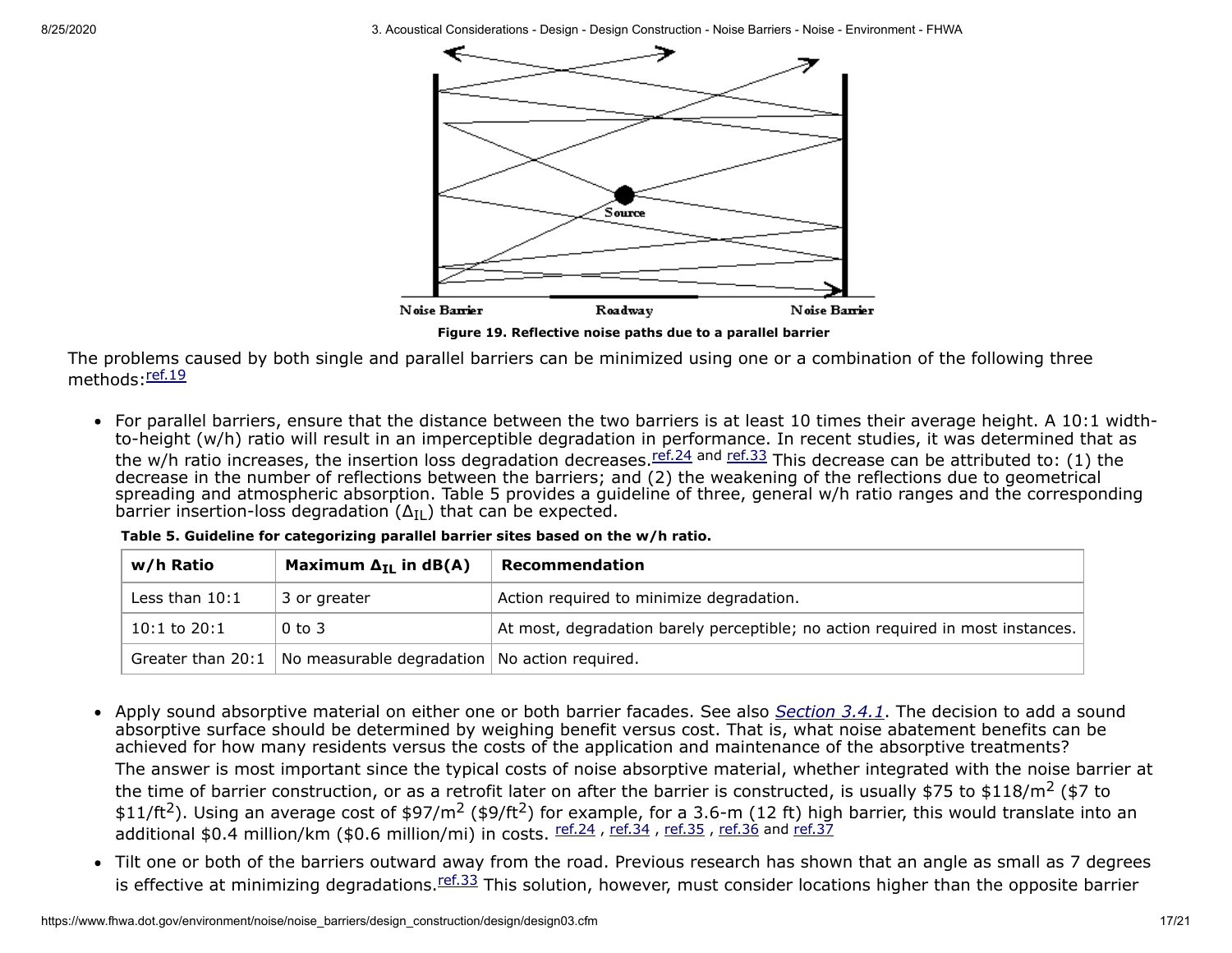

**Figure 19. Reflective noise paths due to a parallel barrier**

The problems caused by both single and parallel barriers can be minimized using one or a combination of the following three methods: [ref.19](https://www.fhwa.dot.gov/environment/noise/noise_barriers/design_construction/design/ref.cfm#ref19)

• For parallel barriers, ensure that the distance between the two barriers is at least 10 times their average height. A 10:1 widthto-height (w/h) ratio will result in an imperceptible degradation in performance. In recent studies, it was determined that as the w/h ratio increases, the insertion loss degradation decreases. *ref.24* and [ref.33](https://www.fhwa.dot.gov/environment/noise/noise_barriers/design_construction/design/ref.cfm#ref33) This decrease can be attributed to: (1) the decrease in the number of reflections between the barriers; and (2) the weakening of the reflections due to geometrical spreading and atmospheric absorption. Table 5 provides a guideline of three, general w/h ratio ranges and the corresponding barrier insertion-loss degradation  $(\Delta_{\text{II}})$  that can be expected.

| w/h Ratio           | Maximum $\Delta_{\text{TI}}$ in dB(A)           | Recommendation                                                                 |
|---------------------|-------------------------------------------------|--------------------------------------------------------------------------------|
| Less than $10:1$    | 3 or greater                                    | Action required to minimize degradation.                                       |
| $10:1$ to $20:1$    | $0$ to $3$                                      | At most, degradation barely perceptible; no action required in most instances. |
| Greater than $20:1$ | No measurable degradation   No action required. |                                                                                |

**Table 5. Guideline for categorizing parallel barrier sites based on the w/h ratio.**

• Apply sound absorptive material on either one or both barrier facades. See also *[Section 3.4.1](#page-9-0)*. The decision to add a sound absorptive surface should be determined by weighing benefit versus cost. That is, what noise abatement benefits can be achieved for how many residents versus the costs of the application and maintenance of the absorptive treatments?

The answer is most important since the typical costs of noise absorptive material, whether integrated with the noise barrier at the time of barrier construction, or as a retrofit later on after the barrier is constructed, is usually \$75 to \$118/m<sup>2</sup> (\$7 to \$11/ft<sup>2</sup>). Using an average cost of \$97/m<sup>2</sup> (\$9/ft<sup>2</sup>) for example, for a 3.6-m (12 ft) high barrier, this would translate into an additional \$0.4 million/km (\$0.6 million/mi) in costs. ref.24, ref.34, ref.35, [ref.36](https://www.fhwa.dot.gov/environment/noise/noise_barriers/design_construction/design/ref.cfm#ref36) and [ref.37](https://www.fhwa.dot.gov/environment/noise/noise_barriers/design_construction/design/ref.cfm#ref37)

• Tilt one or both of the barriers outward away from the road. Previous research has shown that an angle as small as 7 degrees is effective at minimizing degradations. *[ref.33](https://www.fhwa.dot.gov/environment/noise/noise_barriers/design_construction/design/ref.cfm#ref33)* This solution, however, must consider locations higher than the opposite barrier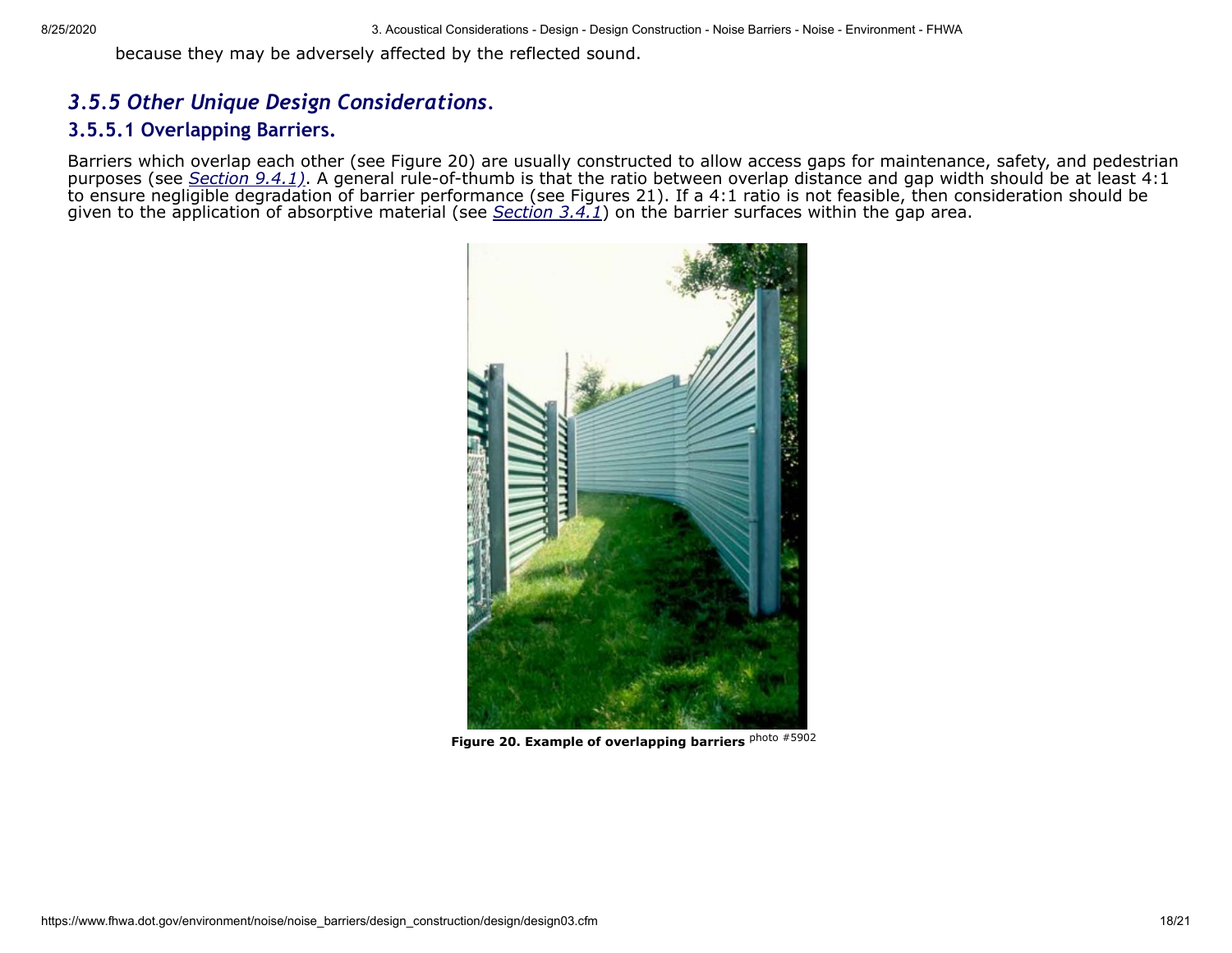because they may be adversely affected by the reflected sound.

### <span id="page-17-0"></span>*3.5.5 Other Unique Design Considerations.*

### <span id="page-17-1"></span>**3.5.5.1 Overlapping Barriers.**

Barriers which overlap each other (see Figure 20) are usually constructed to allow access gaps for maintenance, safety, and pedestrian purposes (see *Section 9.4.1*). A general rule-of-thumb is that the ratio between overlap distance and gap width should be at least 4:1 to ensure negligible degradation of barrier performance (see Figures 21). If a 4:1 ratio is not feasible, then consideration should be given to the application of absorptive material (see *[Section 3.4.1](#page-9-0)*) on the barrier surfaces within the gap area.



**Figure 20. Example of overlapping barriers** photo #5902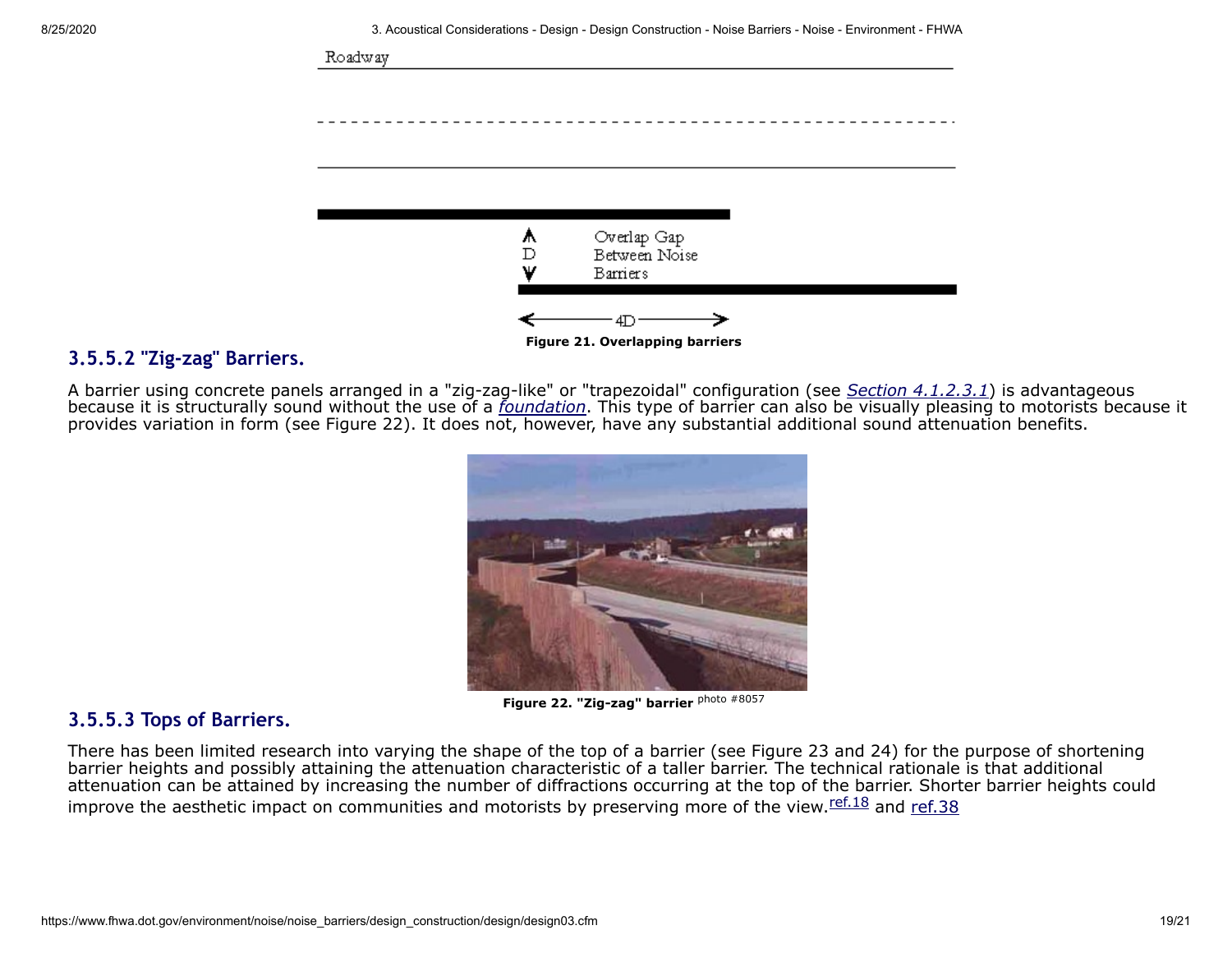

### **3.5.5.2 "Zig-zag" Barriers.**

A barrier using concrete panels arranged in a "zig-zag-like" or "trapezoidal" configuration (see *[Section 4.1.2.3.1](https://www.fhwa.dot.gov/environment/noise/noise_barriers/design_construction/design/design04.cfm#sec4.1.2.3.1)*) is advantageous because it is structurally sound without the use of a *[foundation](https://www.fhwa.dot.gov/environment/noise/noise_barriers/design_construction/design/design02.cfm#foundation)*. This type of barrier can also be visually pleasing to motorists because it provides variation in form (see Figure 22). It does not, however, have any substantial additional sound attenuation benefits.



**Figure 22. "Zig-zag" barrier** photo #8057

### <span id="page-18-0"></span>**3.5.5.3 Tops of Barriers.**

There has been limited research into varying the shape of the top of a barrier (see Figure 23 and 24) for the purpose of shortening barrier heights and possibly attaining the attenuation characteristic of a taller barrier. The technical rationale is that additional attenuation can be attained by increasing the number of diffractions occurring at the top of the barrier. Shorter barrier heights could improve the aesthetic impact on communities and motorists by preserving more of the view. [ref.18](https://www.fhwa.dot.gov/environment/noise/noise_barriers/design_construction/design/ref.cfm#ref18) and [ref.38](https://www.fhwa.dot.gov/environment/noise/noise_barriers/design_construction/design/ref.cfm#ref38)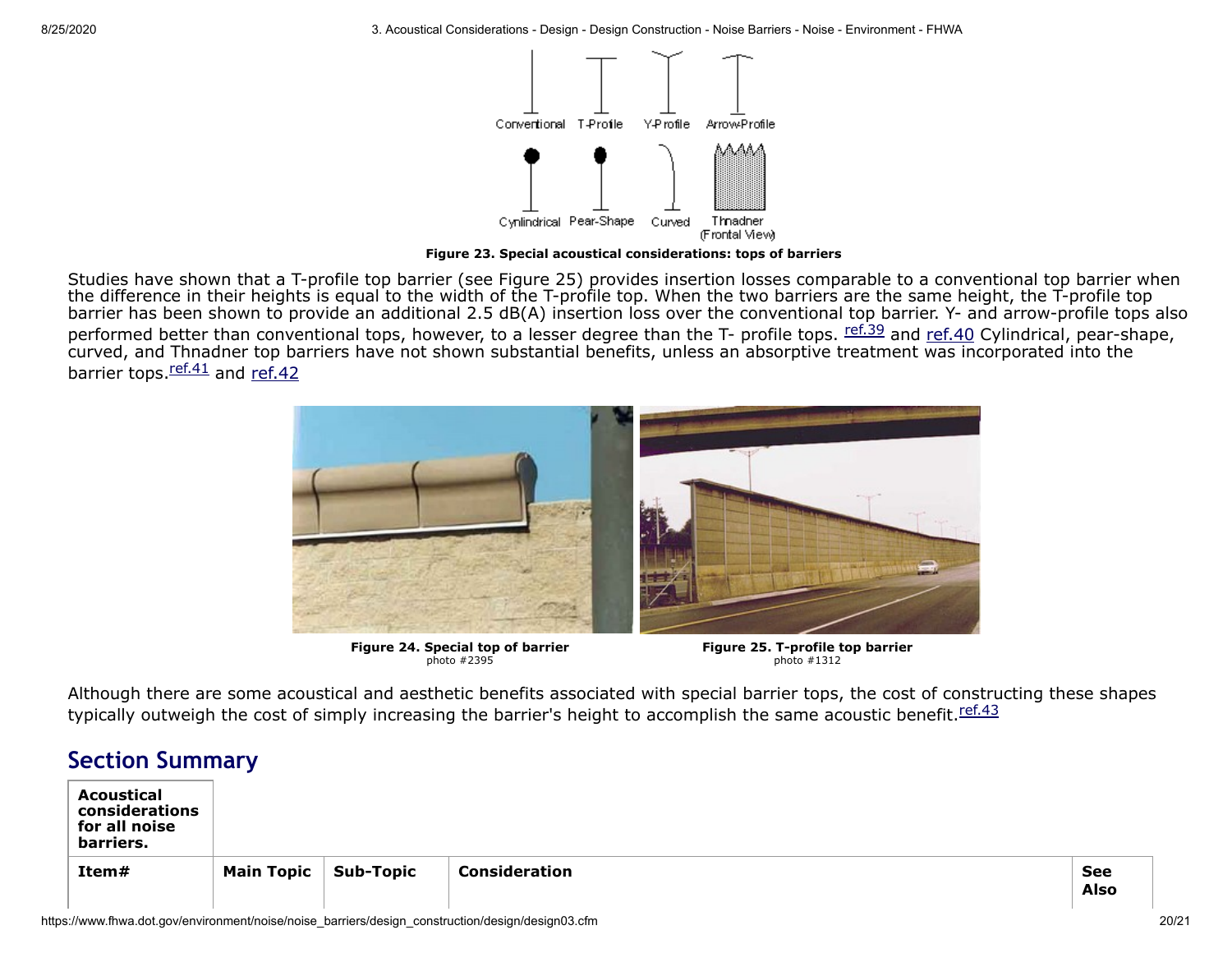

**Figure 23. Special acoustical considerations: tops of barriers**

Studies have shown that a T-profile top barrier (see Figure 25) provides insertion losses comparable to a conventional top barrier when the difference in their heights is equal to the width of the T-profile top. When the two barriers are the same height, the T-profile top barrier has been shown to provide an additional 2.5 dB(A) insertion loss over the conventional top barrier. Y- and arrow-profile tops also performed better than conventional tops, however, to a lesser degree than the T- profile tops. Eef.39 and [ref.40](https://www.fhwa.dot.gov/environment/noise/noise_barriers/design_construction/design/ref.cfm#ref40) Cylindrical, pear-shape, curved, and Thnadner top barriers have not shown substantial benefits, unless an absorptive treatment was incorporated into the barrier tops. $r$ <sup>ef.41</sup> and [ref.42](https://www.fhwa.dot.gov/environment/noise/noise_barriers/design_construction/design/ref.cfm#ref42)



**Figure 24. Special top of barrier**<br>photo #2395

**Figure 25. T-profile top barrier** photo #1312

Although there are some acoustical and aesthetic benefits associated with special barrier tops, the cost of constructing these shapes typically outweigh the cost of simply increasing the barrier's height to accomplish the same acoustic benefit. [ref.43](https://www.fhwa.dot.gov/environment/noise/noise_barriers/design_construction/design/ref.cfm#ref43)

## **Section Summary**